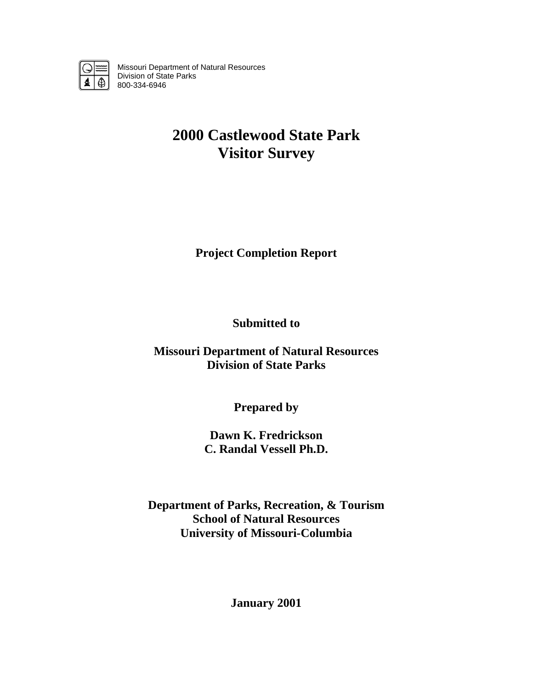

Missouri Department of Natural Resources Division of State Parks 800-334-6946

# **2000 Castlewood State Park Visitor Survey**

**Project Completion Report** 

**Submitted to** 

**Missouri Department of Natural Resources Division of State Parks** 

**Prepared by** 

**Dawn K. Fredrickson C. Randal Vessell Ph.D.** 

**Department of Parks, Recreation, & Tourism School of Natural Resources University of Missouri-Columbia** 

**January 2001**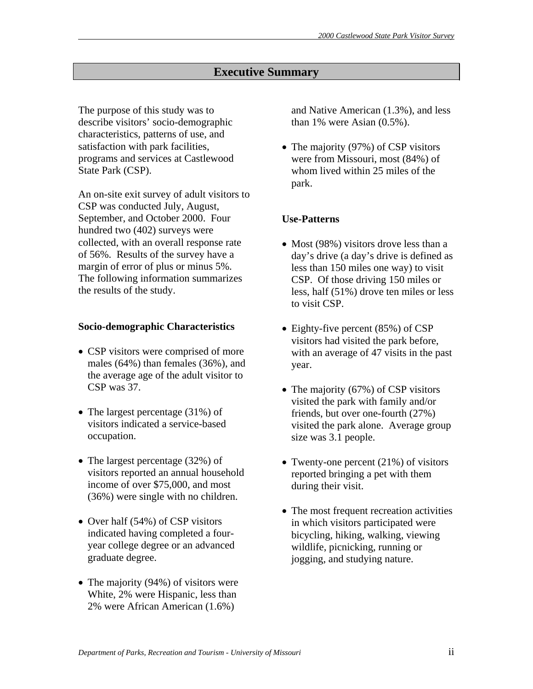# **Executive Summary**

The purpose of this study was to describe visitors' socio-demographic characteristics, patterns of use, and satisfaction with park facilities, programs and services at Castlewood State Park (CSP).

An on-site exit survey of adult visitors to CSP was conducted July, August, September, and October 2000. Four hundred two (402) surveys were collected, with an overall response rate of 56%. Results of the survey have a margin of error of plus or minus 5%. The following information summarizes the results of the study.

#### **Socio-demographic Characteristics**

- CSP visitors were comprised of more males (64%) than females (36%), and the average age of the adult visitor to CSP was 37.
- The largest percentage (31%) of visitors indicated a service-based occupation.
- The largest percentage (32%) of visitors reported an annual household income of over \$75,000, and most (36%) were single with no children.
- Over half (54%) of CSP visitors indicated having completed a fouryear college degree or an advanced graduate degree.
- The majority (94%) of visitors were White, 2% were Hispanic, less than 2% were African American (1.6%)

and Native American (1.3%), and less than 1% were Asian  $(0.5\%)$ .

• The majority (97%) of CSP visitors were from Missouri, most (84%) of whom lived within 25 miles of the park.

# **Use-Patterns**

- Most (98%) visitors drove less than a day's drive (a day's drive is defined as less than 150 miles one way) to visit CSP. Of those driving 150 miles or less, half (51%) drove ten miles or less to visit CSP.
- Eighty-five percent (85%) of CSP visitors had visited the park before, with an average of 47 visits in the past year.
- The majority (67%) of CSP visitors visited the park with family and/or friends, but over one-fourth (27%) visited the park alone. Average group size was 3.1 people.
- Twenty-one percent (21%) of visitors reported bringing a pet with them during their visit.
- The most frequent recreation activities in which visitors participated were bicycling, hiking, walking, viewing wildlife, picnicking, running or jogging, and studying nature.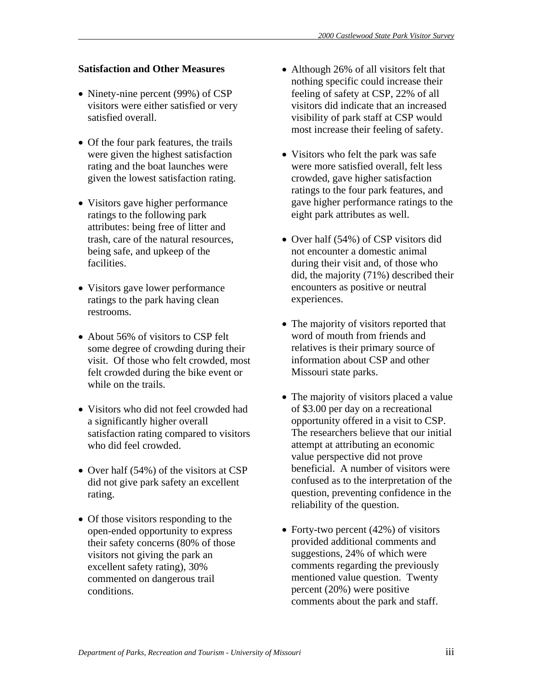# **Satisfaction and Other Measures**

- Ninety-nine percent (99%) of CSP visitors were either satisfied or very satisfied overall.
- Of the four park features, the trails were given the highest satisfaction rating and the boat launches were given the lowest satisfaction rating.
- Visitors gave higher performance ratings to the following park attributes: being free of litter and trash, care of the natural resources, being safe, and upkeep of the facilities.
- Visitors gave lower performance ratings to the park having clean restrooms.
- About 56% of visitors to CSP felt some degree of crowding during their visit. Of those who felt crowded, most felt crowded during the bike event or while on the trails.
- Visitors who did not feel crowded had a significantly higher overall satisfaction rating compared to visitors who did feel crowded.
- Over half (54%) of the visitors at CSP did not give park safety an excellent rating.
- Of those visitors responding to the open-ended opportunity to express their safety concerns (80% of those visitors not giving the park an excellent safety rating), 30% commented on dangerous trail conditions.
- Although 26% of all visitors felt that nothing specific could increase their feeling of safety at CSP, 22% of all visitors did indicate that an increased visibility of park staff at CSP would most increase their feeling of safety.
- Visitors who felt the park was safe were more satisfied overall, felt less crowded, gave higher satisfaction ratings to the four park features, and gave higher performance ratings to the eight park attributes as well.
- Over half (54%) of CSP visitors did not encounter a domestic animal during their visit and, of those who did, the majority (71%) described their encounters as positive or neutral experiences.
- The majority of visitors reported that word of mouth from friends and relatives is their primary source of information about CSP and other Missouri state parks.
- The majority of visitors placed a value of \$3.00 per day on a recreational opportunity offered in a visit to CSP. The researchers believe that our initial attempt at attributing an economic value perspective did not prove beneficial. A number of visitors were confused as to the interpretation of the question, preventing confidence in the reliability of the question.
- Forty-two percent (42%) of visitors provided additional comments and suggestions, 24% of which were comments regarding the previously mentioned value question. Twenty percent (20%) were positive comments about the park and staff.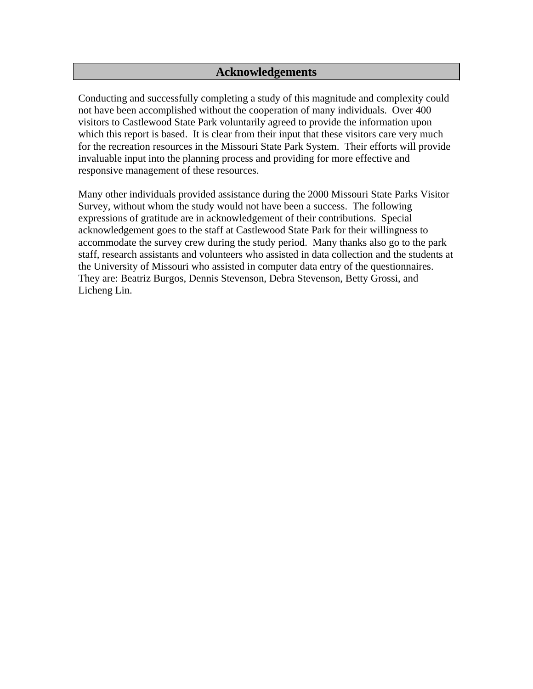# **Acknowledgements**

Conducting and successfully completing a study of this magnitude and complexity could not have been accomplished without the cooperation of many individuals. Over 400 visitors to Castlewood State Park voluntarily agreed to provide the information upon which this report is based. It is clear from their input that these visitors care very much for the recreation resources in the Missouri State Park System. Their efforts will provide invaluable input into the planning process and providing for more effective and responsive management of these resources.

Many other individuals provided assistance during the 2000 Missouri State Parks Visitor Survey, without whom the study would not have been a success. The following expressions of gratitude are in acknowledgement of their contributions. Special acknowledgement goes to the staff at Castlewood State Park for their willingness to accommodate the survey crew during the study period. Many thanks also go to the park staff, research assistants and volunteers who assisted in data collection and the students at the University of Missouri who assisted in computer data entry of the questionnaires. They are: Beatriz Burgos, Dennis Stevenson, Debra Stevenson, Betty Grossi, and Licheng Lin.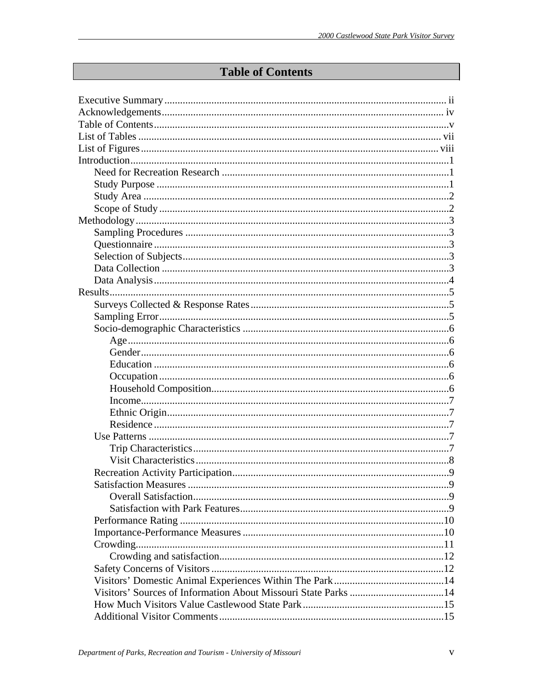# **Table of Contents**

| 9 |
|---|
|   |
|   |
|   |
|   |
|   |
|   |
|   |
|   |
|   |
|   |
|   |
|   |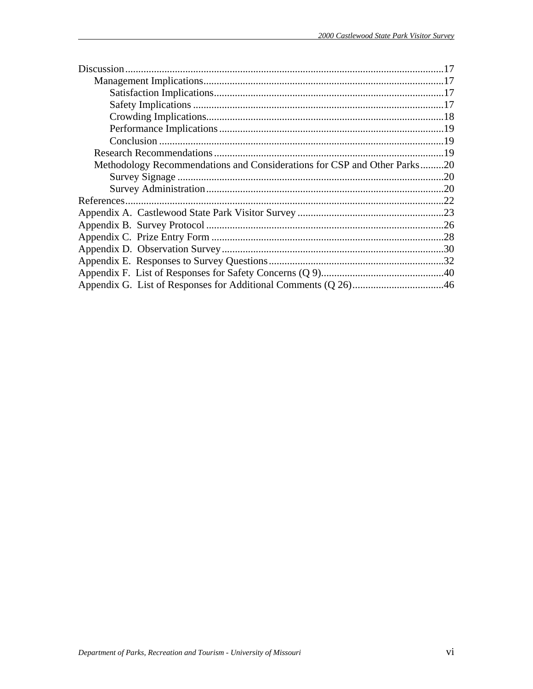| Methodology Recommendations and Considerations for CSP and Other Parks20 |  |
|--------------------------------------------------------------------------|--|
|                                                                          |  |
|                                                                          |  |
|                                                                          |  |
|                                                                          |  |
|                                                                          |  |
|                                                                          |  |
|                                                                          |  |
|                                                                          |  |
|                                                                          |  |
|                                                                          |  |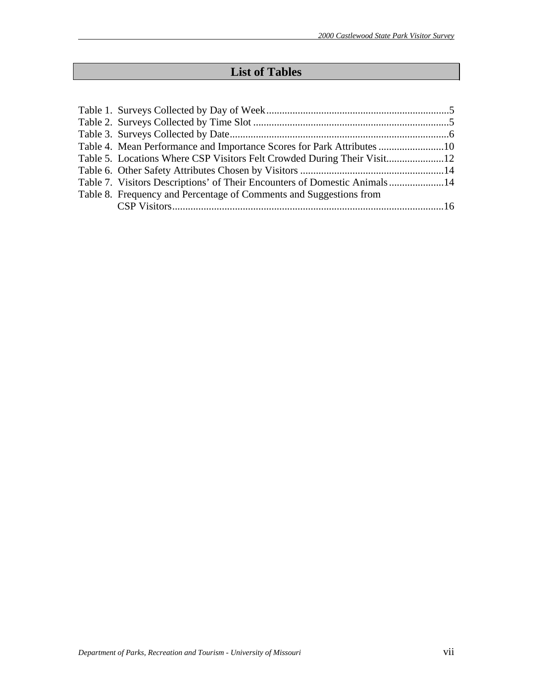# **List of Tables**

| Table 4. Mean Performance and Importance Scores for Park Attributes 10    |  |
|---------------------------------------------------------------------------|--|
|                                                                           |  |
|                                                                           |  |
| Table 7. Visitors Descriptions' of Their Encounters of Domestic Animals14 |  |
| Table 8. Frequency and Percentage of Comments and Suggestions from        |  |
|                                                                           |  |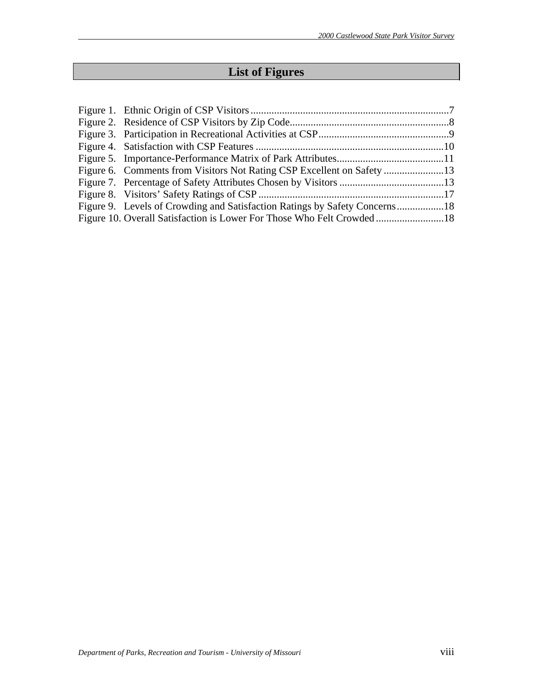# **List of Figures**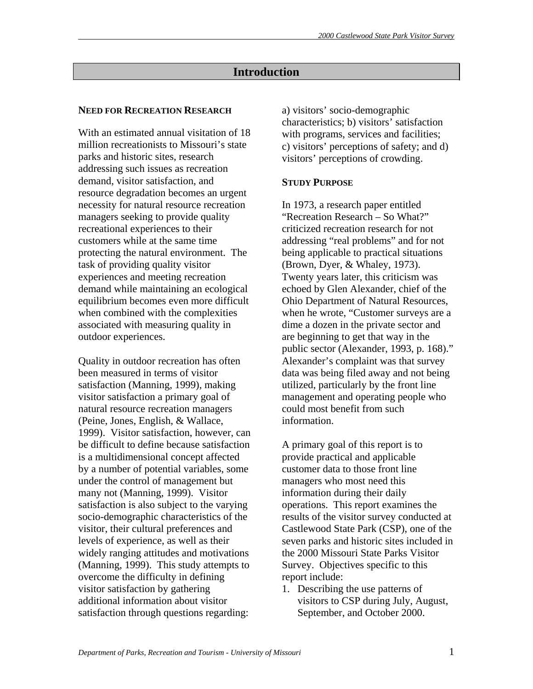# **Introduction**

#### **NEED FOR RECREATION RESEARCH**

With an estimated annual visitation of 18 million recreationists to Missouri's state parks and historic sites, research addressing such issues as recreation demand, visitor satisfaction, and resource degradation becomes an urgent necessity for natural resource recreation managers seeking to provide quality recreational experiences to their customers while at the same time protecting the natural environment. The task of providing quality visitor experiences and meeting recreation demand while maintaining an ecological equilibrium becomes even more difficult when combined with the complexities associated with measuring quality in outdoor experiences.

Quality in outdoor recreation has often been measured in terms of visitor satisfaction (Manning, 1999), making visitor satisfaction a primary goal of natural resource recreation managers (Peine, Jones, English, & Wallace, 1999). Visitor satisfaction, however, can be difficult to define because satisfaction is a multidimensional concept affected by a number of potential variables, some under the control of management but many not (Manning, 1999). Visitor satisfaction is also subject to the varying socio-demographic characteristics of the visitor, their cultural preferences and levels of experience, as well as their widely ranging attitudes and motivations (Manning, 1999). This study attempts to overcome the difficulty in defining visitor satisfaction by gathering additional information about visitor satisfaction through questions regarding:

a) visitors' socio-demographic characteristics; b) visitors' satisfaction with programs, services and facilities; c) visitors' perceptions of safety; and d) visitors' perceptions of crowding.

# **STUDY PURPOSE**

In 1973, a research paper entitled "Recreation Research – So What?" criticized recreation research for not addressing "real problems" and for not being applicable to practical situations (Brown, Dyer, & Whaley, 1973). Twenty years later, this criticism was echoed by Glen Alexander, chief of the Ohio Department of Natural Resources, when he wrote, "Customer surveys are a dime a dozen in the private sector and are beginning to get that way in the public sector (Alexander, 1993, p. 168)." Alexander's complaint was that survey data was being filed away and not being utilized, particularly by the front line management and operating people who could most benefit from such information.

A primary goal of this report is to provide practical and applicable customer data to those front line managers who most need this information during their daily operations. This report examines the results of the visitor survey conducted at Castlewood State Park (CSP), one of the seven parks and historic sites included in the 2000 Missouri State Parks Visitor Survey. Objectives specific to this report include:

1. Describing the use patterns of visitors to CSP during July, August, September, and October 2000.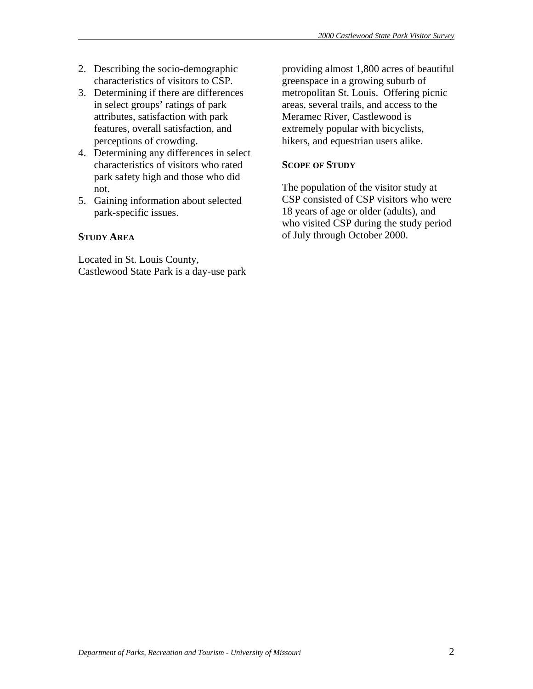- 2. Describing the socio-demographic characteristics of visitors to CSP.
- 3. Determining if there are differences in select groups' ratings of park attributes, satisfaction with park features, overall satisfaction, and perceptions of crowding.
- 4. Determining any differences in select characteristics of visitors who rated park safety high and those who did not.
- 5. Gaining information about selected park-specific issues.

# **STUDY AREA**

Located in St. Louis County, Castlewood State Park is a day-use park

providing almost 1,800 acres of beautiful greenspace in a growing suburb of metropolitan St. Louis. Offering picnic areas, several trails, and access to the Meramec River, Castlewood is extremely popular with bicyclists, hikers, and equestrian users alike.

# **SCOPE OF STUDY**

The population of the visitor study at CSP consisted of CSP visitors who were 18 years of age or older (adults), and who visited CSP during the study period of July through October 2000.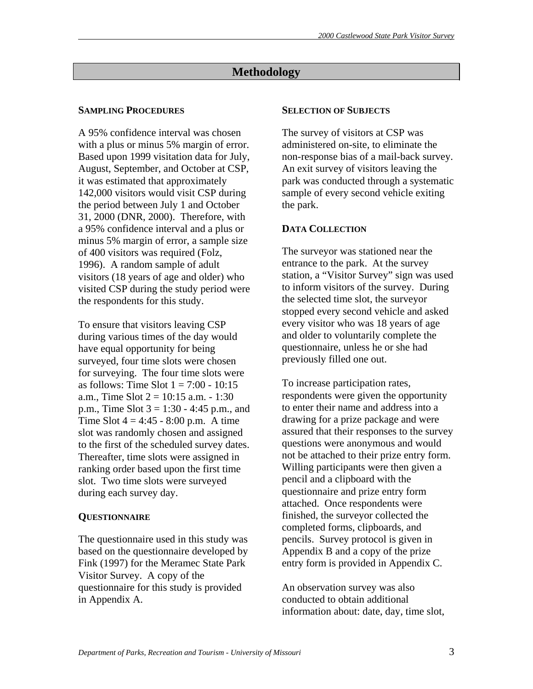# **Methodology**

# **SAMPLING PROCEDURES**

A 95% confidence interval was chosen with a plus or minus 5% margin of error. Based upon 1999 visitation data for July, August, September, and October at CSP, it was estimated that approximately 142,000 visitors would visit CSP during the period between July 1 and October 31, 2000 (DNR, 2000). Therefore, with a 95% confidence interval and a plus or minus 5% margin of error, a sample size of 400 visitors was required (Folz, 1996). A random sample of adult visitors (18 years of age and older) who visited CSP during the study period were the respondents for this study.

To ensure that visitors leaving CSP during various times of the day would have equal opportunity for being surveyed, four time slots were chosen for surveying. The four time slots were as follows: Time Slot  $1 = 7:00 - 10:15$ a.m., Time Slot  $2 = 10:15$  a.m.  $- 1:30$ p.m., Time Slot  $3 = 1:30 - 4:45$  p.m., and Time Slot  $4 = 4:45 - 8:00$  p.m. A time slot was randomly chosen and assigned to the first of the scheduled survey dates. Thereafter, time slots were assigned in ranking order based upon the first time slot. Two time slots were surveyed during each survey day.

# **QUESTIONNAIRE**

The questionnaire used in this study was based on the questionnaire developed by Fink (1997) for the Meramec State Park Visitor Survey. A copy of the questionnaire for this study is provided in Appendix A.

#### **SELECTION OF SUBJECTS**

The survey of visitors at CSP was administered on-site, to eliminate the non-response bias of a mail-back survey. An exit survey of visitors leaving the park was conducted through a systematic sample of every second vehicle exiting the park.

# **DATA COLLECTION**

The surveyor was stationed near the entrance to the park. At the survey station, a "Visitor Survey" sign was used to inform visitors of the survey. During the selected time slot, the surveyor stopped every second vehicle and asked every visitor who was 18 years of age and older to voluntarily complete the questionnaire, unless he or she had previously filled one out.

To increase participation rates, respondents were given the opportunity to enter their name and address into a drawing for a prize package and were assured that their responses to the survey questions were anonymous and would not be attached to their prize entry form. Willing participants were then given a pencil and a clipboard with the questionnaire and prize entry form attached. Once respondents were finished, the surveyor collected the completed forms, clipboards, and pencils. Survey protocol is given in Appendix B and a copy of the prize entry form is provided in Appendix C.

An observation survey was also conducted to obtain additional information about: date, day, time slot,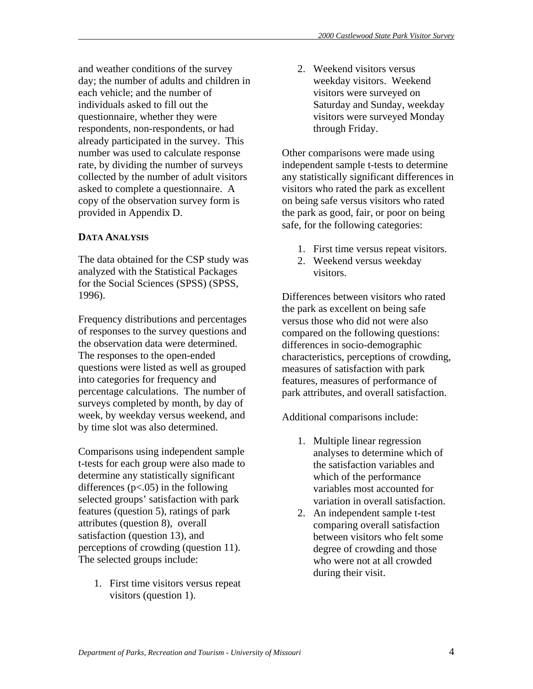and weather conditions of the survey day; the number of adults and children in each vehicle; and the number of individuals asked to fill out the questionnaire, whether they were respondents, non-respondents, or had already participated in the survey. This number was used to calculate response rate, by dividing the number of surveys collected by the number of adult visitors asked to complete a questionnaire. A copy of the observation survey form is provided in Appendix D.

# **DATA ANALYSIS**

The data obtained for the CSP study was analyzed with the Statistical Packages for the Social Sciences (SPSS) (SPSS, 1996).

Frequency distributions and percentages of responses to the survey questions and the observation data were determined. The responses to the open-ended questions were listed as well as grouped into categories for frequency and percentage calculations. The number of surveys completed by month, by day of week, by weekday versus weekend, and by time slot was also determined.

Comparisons using independent sample t-tests for each group were also made to determine any statistically significant differences ( $p$ <.05) in the following selected groups' satisfaction with park features (question 5), ratings of park attributes (question 8), overall satisfaction (question 13), and perceptions of crowding (question 11). The selected groups include:

1. First time visitors versus repeat visitors (question 1).

2. Weekend visitors versus weekday visitors. Weekend visitors were surveyed on Saturday and Sunday, weekday visitors were surveyed Monday through Friday.

Other comparisons were made using independent sample t-tests to determine any statistically significant differences in visitors who rated the park as excellent on being safe versus visitors who rated the park as good, fair, or poor on being safe, for the following categories:

- 1. First time versus repeat visitors.
- 2. Weekend versus weekday visitors.

Differences between visitors who rated the park as excellent on being safe versus those who did not were also compared on the following questions: differences in socio-demographic characteristics, perceptions of crowding, measures of satisfaction with park features, measures of performance of park attributes, and overall satisfaction.

Additional comparisons include:

- 1. Multiple linear regression analyses to determine which of the satisfaction variables and which of the performance variables most accounted for variation in overall satisfaction.
- 2. An independent sample t-test comparing overall satisfaction between visitors who felt some degree of crowding and those who were not at all crowded during their visit.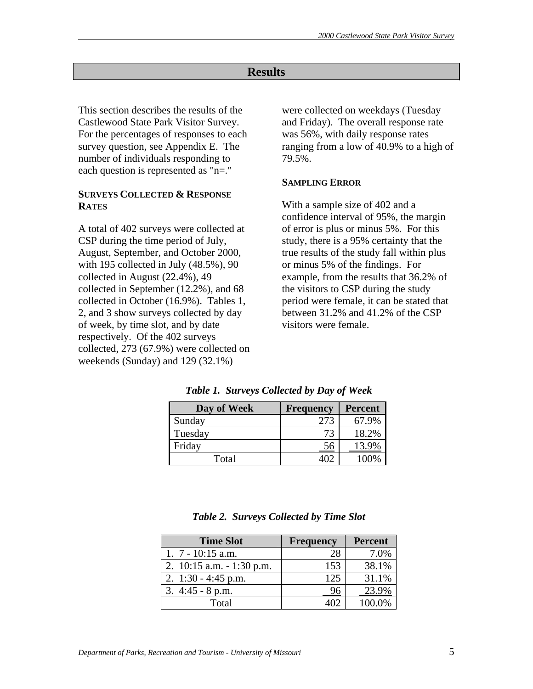# **Results**

This section describes the results of the Castlewood State Park Visitor Survey. For the percentages of responses to each survey question, see Appendix E. The number of individuals responding to each question is represented as "n=."

# **SURVEYS COLLECTED & RESPONSE RATES**

A total of 402 surveys were collected at CSP during the time period of July, August, September, and October 2000, with 195 collected in July (48.5%), 90 collected in August (22.4%), 49 collected in September (12.2%), and 68 collected in October (16.9%). Tables 1, 2, and 3 show surveys collected by day of week, by time slot, and by date respectively. Of the 402 surveys collected, 273 (67.9%) were collected on weekends (Sunday) and 129 (32.1%)

were collected on weekdays (Tuesday and Friday). The overall response rate was 56%, with daily response rates ranging from a low of 40.9% to a high of 79.5%.

#### **SAMPLING ERROR**

With a sample size of 402 and a confidence interval of 95%, the margin of error is plus or minus 5%. For this study, there is a 95% certainty that the true results of the study fall within plus or minus 5% of the findings. For example, from the results that 36.2% of the visitors to CSP during the study period were female, it can be stated that between 31.2% and 41.2% of the CSP visitors were female.

| Day of Week | <b>Frequency</b> | <b>Percent</b> |
|-------------|------------------|----------------|
| Sunday      | 273              | 67.9%          |
| Tuesday     | 73               | 18.2%          |
| Friday      | 56               | 13.9%          |
| Total       |                  | 100%           |

*Table 1. Surveys Collected by Day of Week* 

|  | Table 2. Surveys Collected by Time Slot |  |
|--|-----------------------------------------|--|
|  |                                         |  |

| <b>Time Slot</b>             | <b>Frequency</b> | <b>Percent</b> |
|------------------------------|------------------|----------------|
| 1. $7 - 10:15$ a.m.          | 28               | 7.0%           |
| 2. $10:15$ a.m. $-1:30$ p.m. | 153              | 38.1%          |
| 2. $1:30 - 4:45$ p.m.        | 125              | 31.1%          |
| 3. $4:45 - 8$ p.m.           |                  | 23.9%          |
| Total                        |                  |                |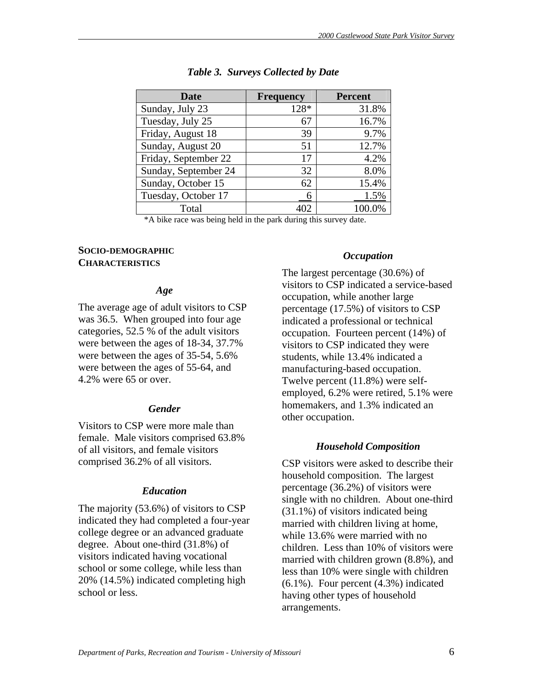| Date                 | <b>Frequency</b> | <b>Percent</b> |
|----------------------|------------------|----------------|
| Sunday, July 23      | 128*             | 31.8%          |
| Tuesday, July 25     | 67               | 16.7%          |
| Friday, August 18    | 39               | 9.7%           |
| Sunday, August 20    | 51               | 12.7%          |
| Friday, September 22 | 17               | 4.2%           |
| Sunday, September 24 | 32               | 8.0%           |
| Sunday, October 15   | 62               | 15.4%          |
| Tuesday, October 17  | 6                | 1.5%           |
| Total                | 402              | 100.0%         |

#### *Table 3. Surveys Collected by Date*

\*A bike race was being held in the park during this survey date.

# **SOCIO-DEMOGRAPHIC CHARACTERISTICS**

#### *Age*

The average age of adult visitors to CSP was 36.5. When grouped into four age categories, 52.5 % of the adult visitors were between the ages of 18-34, 37.7% were between the ages of 35-54, 5.6% were between the ages of 55-64, and 4.2% were 65 or over.

# *Gender*

Visitors to CSP were more male than female. Male visitors comprised 63.8% of all visitors, and female visitors comprised 36.2% of all visitors.

# *Education*

The majority (53.6%) of visitors to CSP indicated they had completed a four-year college degree or an advanced graduate degree. About one-third (31.8%) of visitors indicated having vocational school or some college, while less than 20% (14.5%) indicated completing high school or less.

# *Occupation*

The largest percentage (30.6%) of visitors to CSP indicated a service-based occupation, while another large percentage (17.5%) of visitors to CSP indicated a professional or technical occupation. Fourteen percent (14%) of visitors to CSP indicated they were students, while 13.4% indicated a manufacturing-based occupation. Twelve percent (11.8%) were selfemployed, 6.2% were retired, 5.1% were homemakers, and 1.3% indicated an other occupation.

# *Household Composition*

CSP visitors were asked to describe their household composition. The largest percentage (36.2%) of visitors were single with no children. About one-third (31.1%) of visitors indicated being married with children living at home, while 13.6% were married with no children. Less than 10% of visitors were married with children grown (8.8%), and less than 10% were single with children (6.1%). Four percent (4.3%) indicated having other types of household arrangements.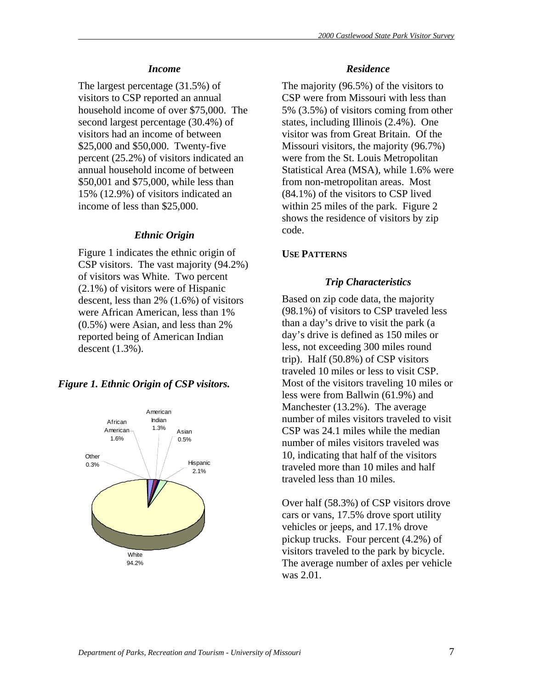#### *Income*

The largest percentage (31.5%) of visitors to CSP reported an annual household income of over \$75,000. The second largest percentage (30.4%) of visitors had an income of between \$25,000 and \$50,000. Twenty-five percent (25.2%) of visitors indicated an annual household income of between \$50,001 and \$75,000, while less than 15% (12.9%) of visitors indicated an income of less than \$25,000.

#### *Ethnic Origin*

Figure 1 indicates the ethnic origin of CSP visitors. The vast majority (94.2%) of visitors was White. Two percent (2.1%) of visitors were of Hispanic descent, less than 2% (1.6%) of visitors were African American, less than 1% (0.5%) were Asian, and less than 2% reported being of American Indian descent (1.3%).

#### *Figure 1. Ethnic Origin of CSP visitors.*



#### *Residence*

The majority (96.5%) of the visitors to CSP were from Missouri with less than 5% (3.5%) of visitors coming from other states, including Illinois (2.4%). One visitor was from Great Britain. Of the Missouri visitors, the majority (96.7%) were from the St. Louis Metropolitan Statistical Area (MSA), while 1.6% were from non-metropolitan areas. Most (84.1%) of the visitors to CSP lived within 25 miles of the park. Figure 2 shows the residence of visitors by zip code.

# **USE PATTERNS**

#### *Trip Characteristics*

Based on zip code data, the majority (98.1%) of visitors to CSP traveled less than a day's drive to visit the park (a day's drive is defined as 150 miles or less, not exceeding 300 miles round trip). Half (50.8%) of CSP visitors traveled 10 miles or less to visit CSP. Most of the visitors traveling 10 miles or less were from Ballwin (61.9%) and Manchester (13.2%). The average number of miles visitors traveled to visit CSP was 24.1 miles while the median number of miles visitors traveled was 10, indicating that half of the visitors traveled more than 10 miles and half traveled less than 10 miles.

Over half (58.3%) of CSP visitors drove cars or vans, 17.5% drove sport utility vehicles or jeeps, and 17.1% drove pickup trucks. Four percent (4.2%) of visitors traveled to the park by bicycle. The average number of axles per vehicle was 2.01.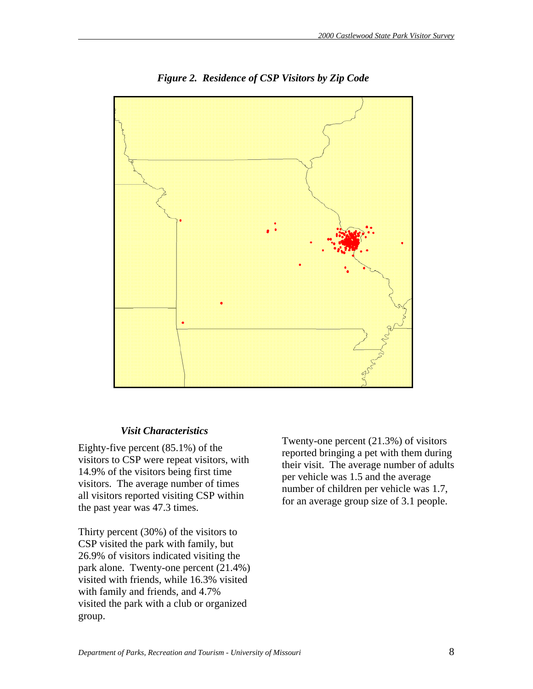

*Figure 2. Residence of CSP Visitors by Zip Code* 

# *Visit Characteristics*

Eighty-five percent (85.1%) of the visitors to CSP were repeat visitors, with 14.9% of the visitors being first time visitors. The average number of times all visitors reported visiting CSP within the past year was 47.3 times.

Thirty percent (30%) of the visitors to CSP visited the park with family, but 26.9% of visitors indicated visiting the park alone. Twenty-one percent (21.4%) visited with friends, while 16.3% visited with family and friends, and 4.7% visited the park with a club or organized group.

Twenty-one percent (21.3%) of visitors reported bringing a pet with them during their visit. The average number of adults per vehicle was 1.5 and the average number of children per vehicle was 1.7, for an average group size of 3.1 people.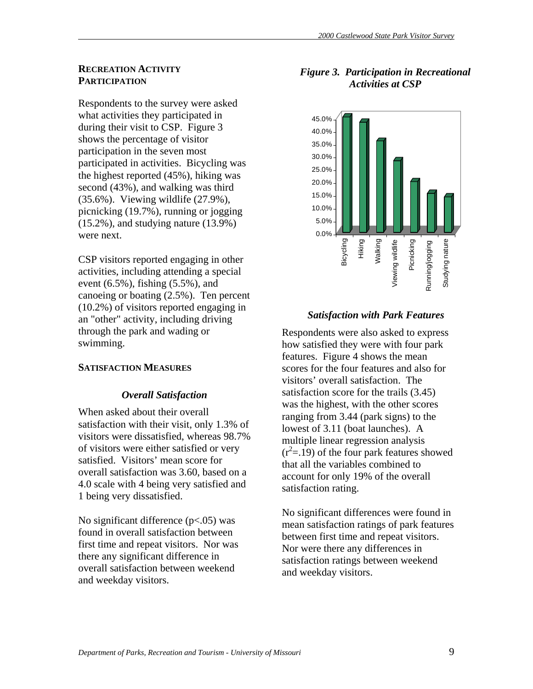#### **RECREATION ACTIVITY PARTICIPATION**

Respondents to the survey were asked what activities they participated in during their visit to CSP. Figure 3 shows the percentage of visitor participation in the seven most participated in activities. Bicycling was the highest reported (45%), hiking was second (43%), and walking was third (35.6%). Viewing wildlife (27.9%), picnicking (19.7%), running or jogging  $(15.2\%)$ , and studying nature  $(13.9\%)$ were next.

CSP visitors reported engaging in other activities, including attending a special event (6.5%), fishing (5.5%), and canoeing or boating (2.5%). Ten percent (10.2%) of visitors reported engaging in an "other" activity, including driving through the park and wading or swimming.

#### **SATISFACTION MEASURES**

#### *Overall Satisfaction*

When asked about their overall satisfaction with their visit, only 1.3% of visitors were dissatisfied, whereas 98.7% of visitors were either satisfied or very satisfied. Visitors' mean score for overall satisfaction was 3.60, based on a 4.0 scale with 4 being very satisfied and 1 being very dissatisfied.

No significant difference  $(p<.05)$  was found in overall satisfaction between first time and repeat visitors. Nor was there any significant difference in overall satisfaction between weekend and weekday visitors.

# *Figure 3. Participation in Recreational Activities at CSP*



#### *Satisfaction with Park Features*

Respondents were also asked to express how satisfied they were with four park features. Figure 4 shows the mean scores for the four features and also for visitors' overall satisfaction. The satisfaction score for the trails (3.45) was the highest, with the other scores ranging from 3.44 (park signs) to the lowest of 3.11 (boat launches). A multiple linear regression analysis  $(r<sup>2</sup>=.19)$  of the four park features showed that all the variables combined to account for only 19% of the overall satisfaction rating.

No significant differences were found in mean satisfaction ratings of park features between first time and repeat visitors. Nor were there any differences in satisfaction ratings between weekend and weekday visitors.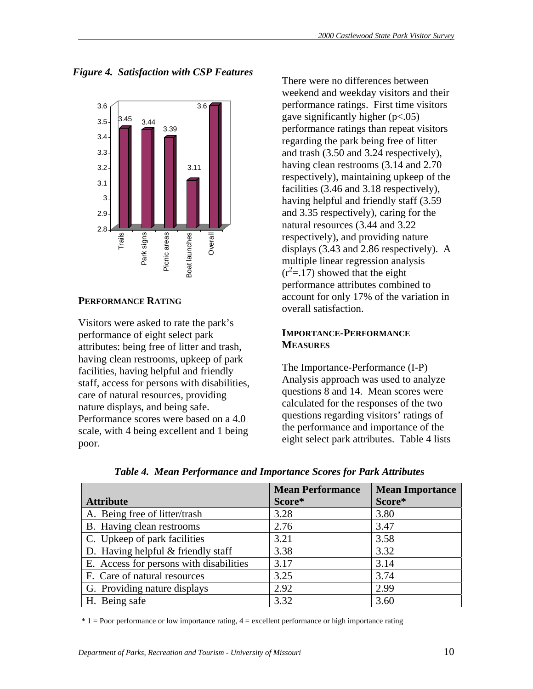*Figure 4. Satisfaction with CSP Features* 



#### **PERFORMANCE RATING**

Visitors were asked to rate the park's performance of eight select park attributes: being free of litter and trash, having clean restrooms, upkeep of park facilities, having helpful and friendly staff, access for persons with disabilities, care of natural resources, providing nature displays, and being safe. Performance scores were based on a 4.0 scale, with 4 being excellent and 1 being poor.

There were no differences between weekend and weekday visitors and their performance ratings. First time visitors gave significantly higher  $(p<.05)$ performance ratings than repeat visitors regarding the park being free of litter and trash (3.50 and 3.24 respectively), having clean restrooms (3.14 and 2.70 respectively), maintaining upkeep of the facilities (3.46 and 3.18 respectively), having helpful and friendly staff (3.59 and 3.35 respectively), caring for the natural resources (3.44 and 3.22 respectively), and providing nature displays (3.43 and 2.86 respectively). A multiple linear regression analysis  $(r<sup>2</sup>=.17)$  showed that the eight performance attributes combined to account for only 17% of the variation in overall satisfaction.

#### **IMPORTANCE-PERFORMANCE MEASURES**

The Importance-Performance (I-P) Analysis approach was used to analyze questions 8 and 14. Mean scores were calculated for the responses of the two questions regarding visitors' ratings of the performance and importance of the eight select park attributes. Table 4 lists

|                                         | <b>Mean Performance</b> | <b>Mean Importance</b> |
|-----------------------------------------|-------------------------|------------------------|
| <b>Attribute</b>                        | Score*                  | Score*                 |
| A. Being free of litter/trash           | 3.28                    | 3.80                   |
| B. Having clean restrooms               | 2.76                    | 3.47                   |
| C. Upkeep of park facilities            | 3.21                    | 3.58                   |
| D. Having helpful $&$ friendly staff    | 3.38                    | 3.32                   |
| E. Access for persons with disabilities | 3.17                    | 3.14                   |
| F. Care of natural resources            | 3.25                    | 3.74                   |
| G. Providing nature displays            | 2.92                    | 2.99                   |
| H. Being safe                           | 3.32                    | 3.60                   |

*Table 4. Mean Performance and Importance Scores for Park Attributes* 

\* 1 = Poor performance or low importance rating, 4 = excellent performance or high importance rating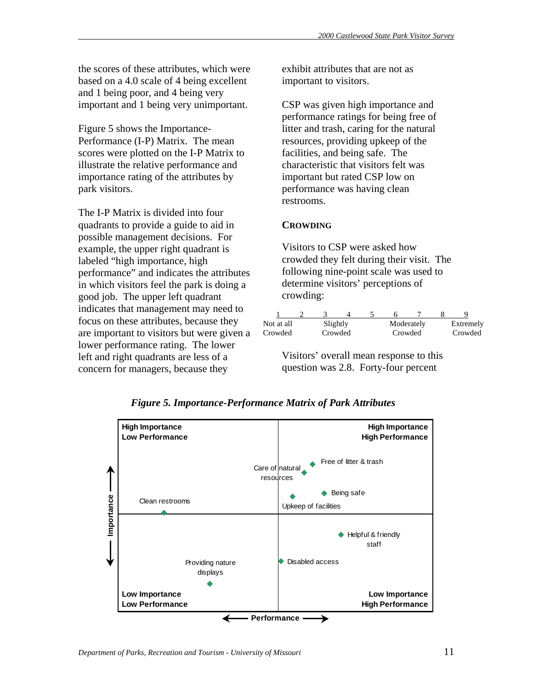the scores of these attributes, which were based on a 4.0 scale of 4 being excellent and 1 being poor, and 4 being very important and 1 being very unimportant.

Figure 5 shows the Importance-Performance (I-P) Matrix. The mean scores were plotted on the I-P Matrix to illustrate the relative performance and importance rating of the attributes by park visitors.

The I-P Matrix is divided into four quadrants to provide a guide to aid in possible management decisions. For example, the upper right quadrant is labeled "high importance, high performance" and indicates the attributes in which visitors feel the park is doing a good job. The upper left quadrant indicates that management may need to focus on these attributes, because they are important to visitors but were given a lower performance rating. The lower left and right quadrants are less of a concern for managers, because they

exhibit attributes that are not as important to visitors.

CSP was given high importance and performance ratings for being free of litter and trash, caring for the natural resources, providing upkeep of the facilities, and being safe. The characteristic that visitors felt was important but rated CSP low on performance was having clean restrooms.

# **CROWDING**

Visitors to CSP were asked how crowded they felt during their visit. The following nine-point scale was used to determine visitors' perceptions of crowding:

| Not at all | Slightly |         |         | Moderately | Extremely |
|------------|----------|---------|---------|------------|-----------|
| Crowded    |          | Crowded | Crowded |            | Crowded   |
|            |          |         |         |            |           |

Visitors' overall mean response to this question was 2.8. Forty-four percent



#### *Figure 5. Importance-Performance Matrix of Park Attributes*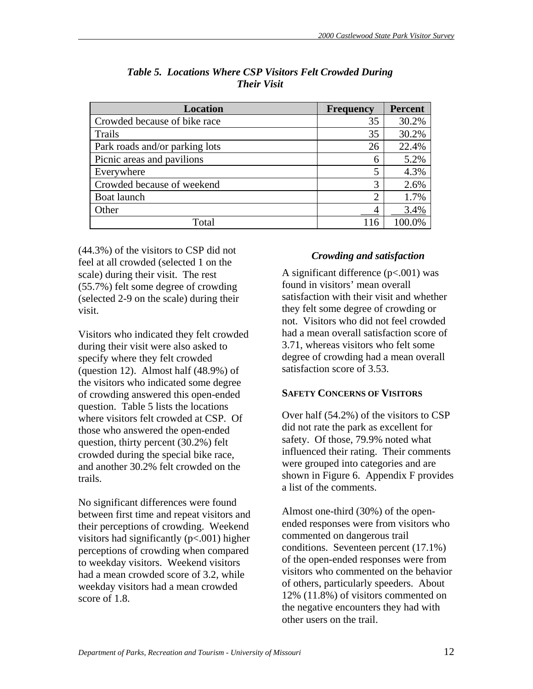| <b>Location</b>                | <b>Frequency</b> | <b>Percent</b> |
|--------------------------------|------------------|----------------|
| Crowded because of bike race   | 35               | 30.2%          |
| Trails                         | 35               | 30.2%          |
| Park roads and/or parking lots | 26               | 22.4%          |
| Picnic areas and pavilions     | 6                | 5.2%           |
| Everywhere                     | 5                | 4.3%           |
| Crowded because of weekend     | 3                | 2.6%           |
| Boat launch                    | 2                | 1.7%           |
| Other                          |                  | 3.4%           |
| Total                          | 116              | 100.0%         |

# *Table 5. Locations Where CSP Visitors Felt Crowded During Their Visit*

(44.3%) of the visitors to CSP did not feel at all crowded (selected 1 on the scale) during their visit. The rest (55.7%) felt some degree of crowding (selected 2-9 on the scale) during their visit.

Visitors who indicated they felt crowded during their visit were also asked to specify where they felt crowded (question 12). Almost half (48.9%) of the visitors who indicated some degree of crowding answered this open-ended question. Table 5 lists the locations where visitors felt crowded at CSP. Of those who answered the open-ended question, thirty percent (30.2%) felt crowded during the special bike race, and another 30.2% felt crowded on the trails.

No significant differences were found between first time and repeat visitors and their perceptions of crowding. Weekend visitors had significantly (p<.001) higher perceptions of crowding when compared to weekday visitors. Weekend visitors had a mean crowded score of 3.2, while weekday visitors had a mean crowded score of 1.8.

# *Crowding and satisfaction*

A significant difference  $(p<.001)$  was found in visitors' mean overall satisfaction with their visit and whether they felt some degree of crowding or not. Visitors who did not feel crowded had a mean overall satisfaction score of 3.71, whereas visitors who felt some degree of crowding had a mean overall satisfaction score of 3.53.

# **SAFETY CONCERNS OF VISITORS**

Over half (54.2%) of the visitors to CSP did not rate the park as excellent for safety. Of those, 79.9% noted what influenced their rating. Their comments were grouped into categories and are shown in Figure 6. Appendix F provides a list of the comments.

Almost one-third (30%) of the openended responses were from visitors who commented on dangerous trail conditions. Seventeen percent (17.1%) of the open-ended responses were from visitors who commented on the behavior of others, particularly speeders. About 12% (11.8%) of visitors commented on the negative encounters they had with other users on the trail.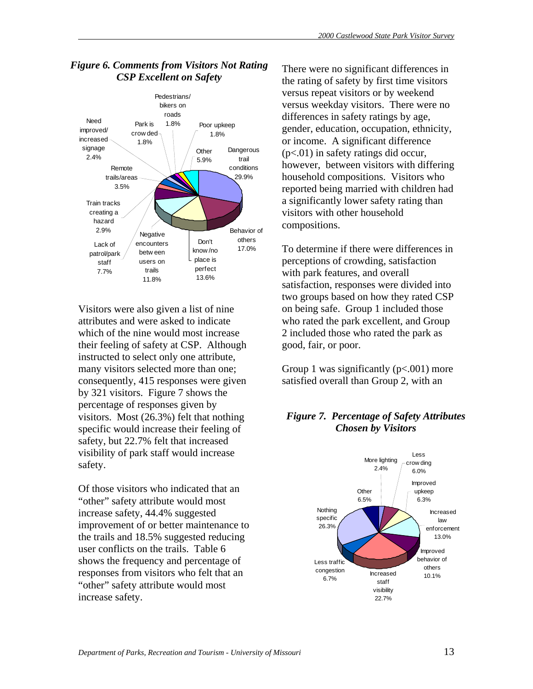

# *Figure 6. Comments from Visitors Not Rating CSP Excellent on Safety*

Visitors were also given a list of nine attributes and were asked to indicate which of the nine would most increase their feeling of safety at CSP. Although instructed to select only one attribute, many visitors selected more than one; consequently, 415 responses were given by 321 visitors. Figure 7 shows the percentage of responses given by visitors. Most (26.3%) felt that nothing specific would increase their feeling of safety, but 22.7% felt that increased visibility of park staff would increase safety.

Of those visitors who indicated that an "other" safety attribute would most increase safety, 44.4% suggested improvement of or better maintenance to the trails and 18.5% suggested reducing user conflicts on the trails. Table 6 shows the frequency and percentage of responses from visitors who felt that an "other" safety attribute would most increase safety.

There were no significant differences in the rating of safety by first time visitors versus repeat visitors or by weekend versus weekday visitors. There were no differences in safety ratings by age, gender, education, occupation, ethnicity, or income. A significant difference (p<.01) in safety ratings did occur, however, between visitors with differing household compositions. Visitors who reported being married with children had a significantly lower safety rating than visitors with other household compositions.

To determine if there were differences in perceptions of crowding, satisfaction with park features, and overall satisfaction, responses were divided into two groups based on how they rated CSP on being safe. Group 1 included those who rated the park excellent, and Group 2 included those who rated the park as good, fair, or poor.

Group 1 was significantly  $(p<.001)$  more satisfied overall than Group 2, with an

# *Figure 7. Percentage of Safety Attributes Chosen by Visitors*

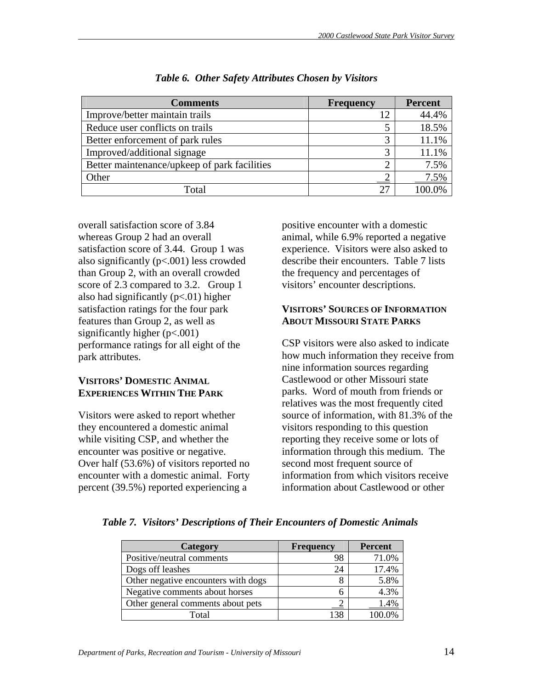| <b>Comments</b>                              | <b>Frequency</b> | <b>Percent</b> |
|----------------------------------------------|------------------|----------------|
| Improve/better maintain trails               | 12               | 44.4%          |
| Reduce user conflicts on trails              |                  | 18.5%          |
| Better enforcement of park rules             |                  | 11.1%          |
| Improved/additional signage                  | 3                | 11.1%          |
| Better maintenance/upkeep of park facilities |                  | 7.5%           |
| Other                                        |                  | 7.5%           |
| Total                                        | 27               |                |

#### *Table 6. Other Safety Attributes Chosen by Visitors*

overall satisfaction score of 3.84 whereas Group 2 had an overall satisfaction score of 3.44. Group 1 was also significantly (p<.001) less crowded than Group 2, with an overall crowded score of 2.3 compared to 3.2. Group 1 also had significantly  $(p<.01)$  higher satisfaction ratings for the four park features than Group 2, as well as significantly higher  $(p<.001)$ performance ratings for all eight of the park attributes.

# **VISITORS' DOMESTIC ANIMAL EXPERIENCES WITHIN THE PARK**

Visitors were asked to report whether they encountered a domestic animal while visiting CSP, and whether the encounter was positive or negative. Over half (53.6%) of visitors reported no encounter with a domestic animal. Forty percent (39.5%) reported experiencing a

positive encounter with a domestic animal, while 6.9% reported a negative experience. Visitors were also asked to describe their encounters. Table 7 lists the frequency and percentages of visitors' encounter descriptions.

# **VISITORS' SOURCES OF INFORMATION ABOUT MISSOURI STATE PARKS**

CSP visitors were also asked to indicate how much information they receive from nine information sources regarding Castlewood or other Missouri state parks. Word of mouth from friends or relatives was the most frequently cited source of information, with 81.3% of the visitors responding to this question reporting they receive some or lots of information through this medium. The second most frequent source of information from which visitors receive information about Castlewood or other

| Table 7. Visitors' Descriptions of Their Encounters of Domestic Animals |  |  |  |  |  |  |  |
|-------------------------------------------------------------------------|--|--|--|--|--|--|--|
|-------------------------------------------------------------------------|--|--|--|--|--|--|--|

| Category                            | <b>Frequency</b> | <b>Percent</b> |
|-------------------------------------|------------------|----------------|
| Positive/neutral comments           | 98               | 71.0%          |
| Dogs off leashes                    | 24               | 17.4%          |
| Other negative encounters with dogs |                  | 5.8%           |
| Negative comments about horses      |                  | 4.3%           |
| Other general comments about pets   |                  | 1.4%           |
| Total                               |                  |                |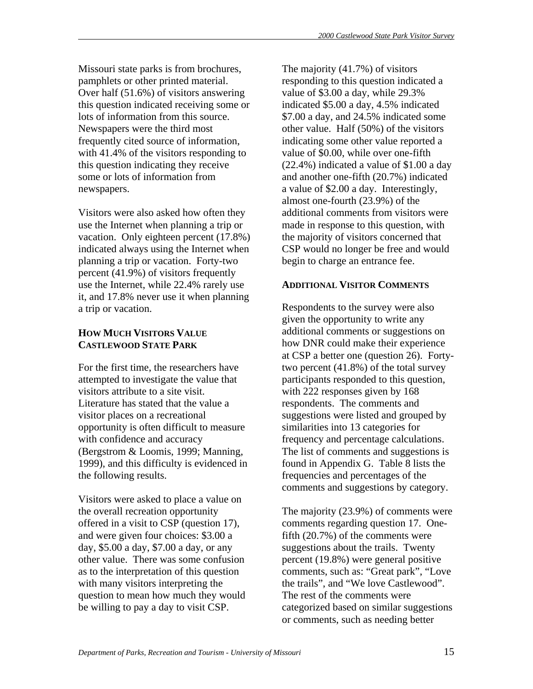Missouri state parks is from brochures, pamphlets or other printed material. Over half (51.6%) of visitors answering this question indicated receiving some or lots of information from this source. Newspapers were the third most frequently cited source of information, with 41.4% of the visitors responding to this question indicating they receive some or lots of information from newspapers.

Visitors were also asked how often they use the Internet when planning a trip or vacation. Only eighteen percent (17.8%) indicated always using the Internet when planning a trip or vacation. Forty-two percent (41.9%) of visitors frequently use the Internet, while 22.4% rarely use it, and 17.8% never use it when planning a trip or vacation.

# **HOW MUCH VISITORS VALUE CASTLEWOOD STATE PARK**

For the first time, the researchers have attempted to investigate the value that visitors attribute to a site visit. Literature has stated that the value a visitor places on a recreational opportunity is often difficult to measure with confidence and accuracy (Bergstrom & Loomis, 1999; Manning, 1999), and this difficulty is evidenced in the following results.

Visitors were asked to place a value on the overall recreation opportunity offered in a visit to CSP (question 17), and were given four choices: \$3.00 a day, \$5.00 a day, \$7.00 a day, or any other value. There was some confusion as to the interpretation of this question with many visitors interpreting the question to mean how much they would be willing to pay a day to visit CSP.

The majority (41.7%) of visitors responding to this question indicated a value of \$3.00 a day, while 29.3% indicated \$5.00 a day, 4.5% indicated \$7.00 a day, and 24.5% indicated some other value. Half (50%) of the visitors indicating some other value reported a value of \$0.00, while over one-fifth (22.4%) indicated a value of \$1.00 a day and another one-fifth (20.7%) indicated a value of \$2.00 a day. Interestingly, almost one-fourth (23.9%) of the additional comments from visitors were made in response to this question, with the majority of visitors concerned that CSP would no longer be free and would begin to charge an entrance fee.

# **ADDITIONAL VISITOR COMMENTS**

Respondents to the survey were also given the opportunity to write any additional comments or suggestions on how DNR could make their experience at CSP a better one (question 26). Fortytwo percent (41.8%) of the total survey participants responded to this question, with 222 responses given by 168 respondents. The comments and suggestions were listed and grouped by similarities into 13 categories for frequency and percentage calculations. The list of comments and suggestions is found in Appendix G. Table 8 lists the frequencies and percentages of the comments and suggestions by category.

The majority (23.9%) of comments were comments regarding question 17. Onefifth (20.7%) of the comments were suggestions about the trails. Twenty percent (19.8%) were general positive comments, such as: "Great park", "Love the trails", and "We love Castlewood". The rest of the comments were categorized based on similar suggestions or comments, such as needing better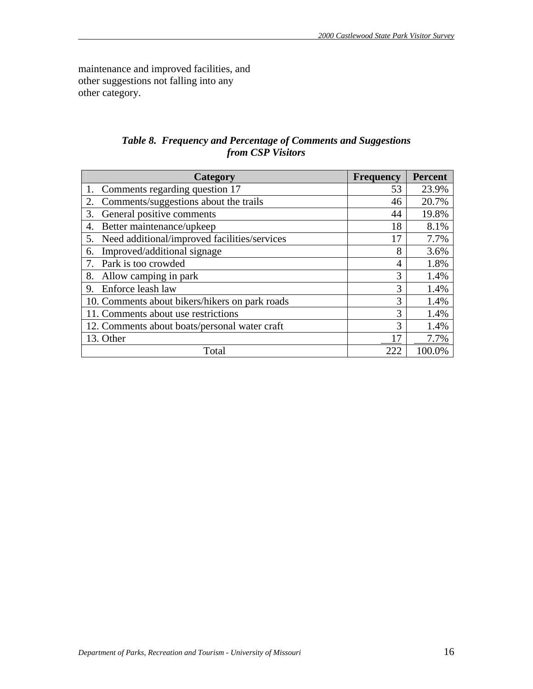maintenance and improved facilities, and other suggestions not falling into any other category.

# *Table 8. Frequency and Percentage of Comments and Suggestions from CSP Visitors*

| <b>Category</b>                                    | <b>Frequency</b> | <b>Percent</b> |
|----------------------------------------------------|------------------|----------------|
| Comments regarding question 17                     | 53               | 23.9%          |
| Comments/suggestions about the trails<br>2.        | 46               | 20.7%          |
| General positive comments<br>3.                    | 44               | 19.8%          |
| Better maintenance/upkeep<br>4.                    | 18               | 8.1%           |
| Need additional/improved facilities/services<br>5. | 17               | 7.7%           |
| Improved/additional signage<br>6.                  | 8                | 3.6%           |
| Park is too crowded                                | 4                | 1.8%           |
| Allow camping in park<br>8.                        | 3                | 1.4%           |
| Enforce leash law<br>9.                            | 3                | 1.4%           |
| 10. Comments about bikers/hikers on park roads     | 3                | 1.4%           |
| 11. Comments about use restrictions                | 3                | 1.4%           |
| 12. Comments about boats/personal water craft      | 3                | 1.4%           |
| 13. Other                                          | $\overline{17}$  | 7.7%           |
| Total                                              | 222              | 100.0%         |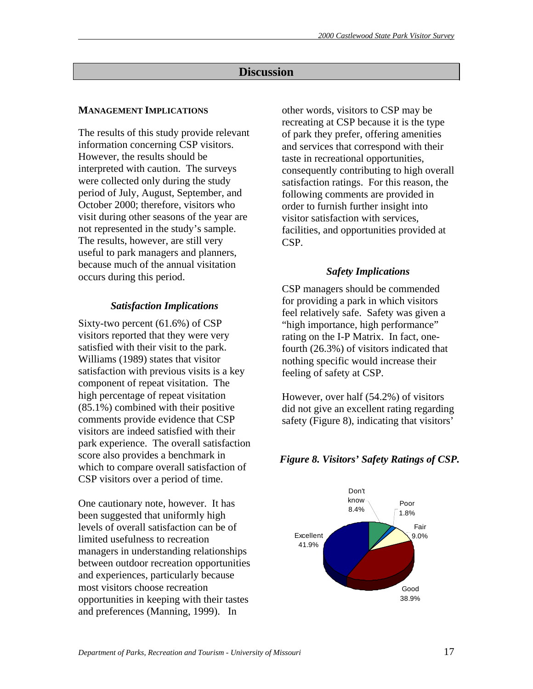# **Discussion**

# **MANAGEMENT IMPLICATIONS**

The results of this study provide relevant information concerning CSP visitors. However, the results should be interpreted with caution. The surveys were collected only during the study period of July, August, September, and October 2000; therefore, visitors who visit during other seasons of the year are not represented in the study's sample. The results, however, are still very useful to park managers and planners, because much of the annual visitation occurs during this period.

# *Satisfaction Implications*

Sixty-two percent (61.6%) of CSP visitors reported that they were very satisfied with their visit to the park. Williams (1989) states that visitor satisfaction with previous visits is a key component of repeat visitation. The high percentage of repeat visitation (85.1%) combined with their positive comments provide evidence that CSP visitors are indeed satisfied with their park experience. The overall satisfaction score also provides a benchmark in which to compare overall satisfaction of CSP visitors over a period of time.

One cautionary note, however. It has been suggested that uniformly high levels of overall satisfaction can be of limited usefulness to recreation managers in understanding relationships between outdoor recreation opportunities and experiences, particularly because most visitors choose recreation opportunities in keeping with their tastes and preferences (Manning, 1999). In

other words, visitors to CSP may be recreating at CSP because it is the type of park they prefer, offering amenities and services that correspond with their taste in recreational opportunities, consequently contributing to high overall satisfaction ratings. For this reason, the following comments are provided in order to furnish further insight into visitor satisfaction with services, facilities, and opportunities provided at CSP.

# *Safety Implications*

CSP managers should be commended for providing a park in which visitors feel relatively safe. Safety was given a "high importance, high performance" rating on the I-P Matrix. In fact, onefourth (26.3%) of visitors indicated that nothing specific would increase their feeling of safety at CSP.

However, over half (54.2%) of visitors did not give an excellent rating regarding safety (Figure 8), indicating that visitors'

# *Figure 8. Visitors' Safety Ratings of CSP.*

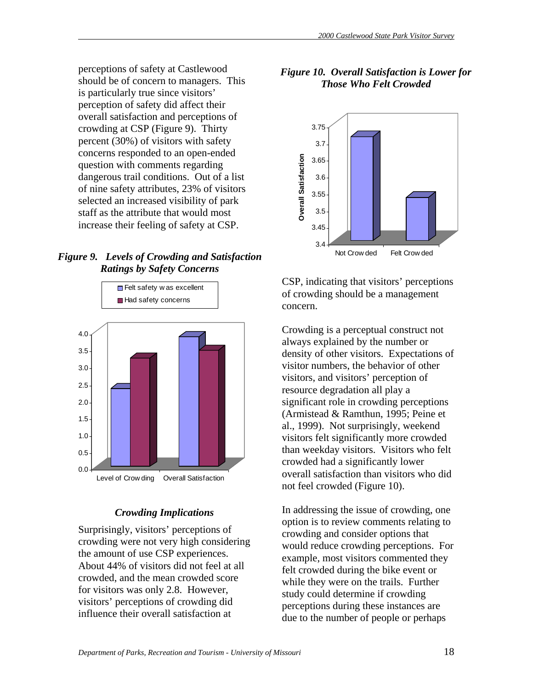perceptions of safety at Castlewood should be of concern to managers. This is particularly true since visitors' perception of safety did affect their overall satisfaction and perceptions of crowding at CSP (Figure 9). Thirty percent (30%) of visitors with safety concerns responded to an open-ended question with comments regarding dangerous trail conditions. Out of a list of nine safety attributes, 23% of visitors selected an increased visibility of park staff as the attribute that would most increase their feeling of safety at CSP.

# *Figure 9. Levels of Crowding and Satisfaction Ratings by Safety Concerns*



# *Crowding Implications*

Surprisingly, visitors' perceptions of crowding were not very high considering the amount of use CSP experiences. About 44% of visitors did not feel at all crowded, and the mean crowded score for visitors was only 2.8. However, visitors' perceptions of crowding did influence their overall satisfaction at

# *Figure 10. Overall Satisfaction is Lower for Those Who Felt Crowded*



CSP, indicating that visitors' perceptions of crowding should be a management concern.

Crowding is a perceptual construct not always explained by the number or density of other visitors. Expectations of visitor numbers, the behavior of other visitors, and visitors' perception of resource degradation all play a significant role in crowding perceptions (Armistead & Ramthun, 1995; Peine et al., 1999). Not surprisingly, weekend visitors felt significantly more crowded than weekday visitors. Visitors who felt crowded had a significantly lower overall satisfaction than visitors who did not feel crowded (Figure 10).

In addressing the issue of crowding, one option is to review comments relating to crowding and consider options that would reduce crowding perceptions. For example, most visitors commented they felt crowded during the bike event or while they were on the trails. Further study could determine if crowding perceptions during these instances are due to the number of people or perhaps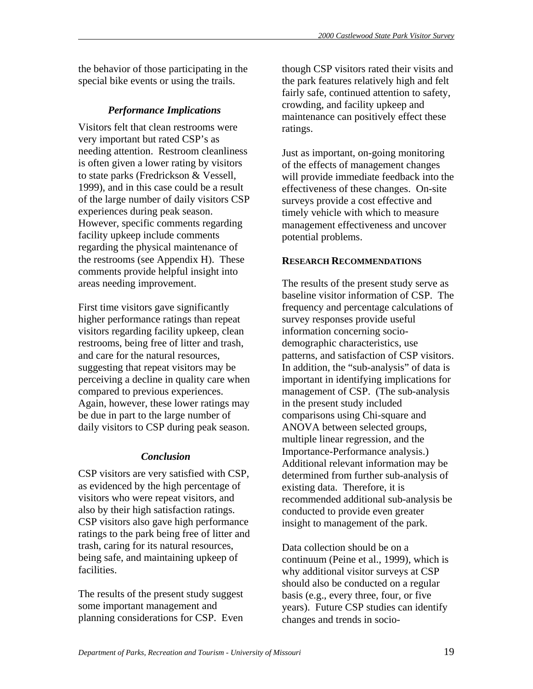the behavior of those participating in the special bike events or using the trails.

# *Performance Implications*

Visitors felt that clean restrooms were very important but rated CSP's as needing attention. Restroom cleanliness is often given a lower rating by visitors to state parks (Fredrickson & Vessell, 1999), and in this case could be a result of the large number of daily visitors CSP experiences during peak season. However, specific comments regarding facility upkeep include comments regarding the physical maintenance of the restrooms (see Appendix H). These comments provide helpful insight into areas needing improvement.

First time visitors gave significantly higher performance ratings than repeat visitors regarding facility upkeep, clean restrooms, being free of litter and trash, and care for the natural resources, suggesting that repeat visitors may be perceiving a decline in quality care when compared to previous experiences. Again, however, these lower ratings may be due in part to the large number of daily visitors to CSP during peak season.

# *Conclusion*

CSP visitors are very satisfied with CSP, as evidenced by the high percentage of visitors who were repeat visitors, and also by their high satisfaction ratings. CSP visitors also gave high performance ratings to the park being free of litter and trash, caring for its natural resources, being safe, and maintaining upkeep of facilities.

The results of the present study suggest some important management and planning considerations for CSP. Even though CSP visitors rated their visits and the park features relatively high and felt fairly safe, continued attention to safety, crowding, and facility upkeep and maintenance can positively effect these ratings.

Just as important, on-going monitoring of the effects of management changes will provide immediate feedback into the effectiveness of these changes. On-site surveys provide a cost effective and timely vehicle with which to measure management effectiveness and uncover potential problems.

# **RESEARCH RECOMMENDATIONS**

The results of the present study serve as baseline visitor information of CSP. The frequency and percentage calculations of survey responses provide useful information concerning sociodemographic characteristics, use patterns, and satisfaction of CSP visitors. In addition, the "sub-analysis" of data is important in identifying implications for management of CSP. (The sub-analysis in the present study included comparisons using Chi-square and ANOVA between selected groups, multiple linear regression, and the Importance-Performance analysis.) Additional relevant information may be determined from further sub-analysis of existing data. Therefore, it is recommended additional sub-analysis be conducted to provide even greater insight to management of the park.

Data collection should be on a continuum (Peine et al., 1999), which is why additional visitor surveys at CSP should also be conducted on a regular basis (e.g., every three, four, or five years). Future CSP studies can identify changes and trends in socio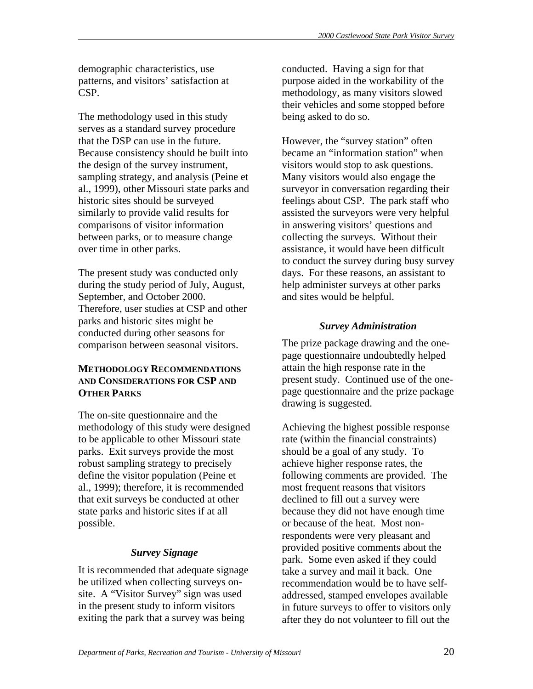demographic characteristics, use patterns, and visitors' satisfaction at CSP.

The methodology used in this study serves as a standard survey procedure that the DSP can use in the future. Because consistency should be built into the design of the survey instrument, sampling strategy, and analysis (Peine et al., 1999), other Missouri state parks and historic sites should be surveyed similarly to provide valid results for comparisons of visitor information between parks, or to measure change over time in other parks.

The present study was conducted only during the study period of July, August, September, and October 2000. Therefore, user studies at CSP and other parks and historic sites might be conducted during other seasons for comparison between seasonal visitors.

# **METHODOLOGY RECOMMENDATIONS AND CONSIDERATIONS FOR CSP AND OTHER PARKS**

The on-site questionnaire and the methodology of this study were designed to be applicable to other Missouri state parks. Exit surveys provide the most robust sampling strategy to precisely define the visitor population (Peine et al., 1999); therefore, it is recommended that exit surveys be conducted at other state parks and historic sites if at all possible.

# *Survey Signage*

It is recommended that adequate signage be utilized when collecting surveys onsite. A "Visitor Survey" sign was used in the present study to inform visitors exiting the park that a survey was being

conducted. Having a sign for that purpose aided in the workability of the methodology, as many visitors slowed their vehicles and some stopped before being asked to do so.

However, the "survey station" often became an "information station" when visitors would stop to ask questions. Many visitors would also engage the surveyor in conversation regarding their feelings about CSP. The park staff who assisted the surveyors were very helpful in answering visitors' questions and collecting the surveys. Without their assistance, it would have been difficult to conduct the survey during busy survey days. For these reasons, an assistant to help administer surveys at other parks and sites would be helpful.

# *Survey Administration*

The prize package drawing and the onepage questionnaire undoubtedly helped attain the high response rate in the present study. Continued use of the onepage questionnaire and the prize package drawing is suggested.

Achieving the highest possible response rate (within the financial constraints) should be a goal of any study. To achieve higher response rates, the following comments are provided. The most frequent reasons that visitors declined to fill out a survey were because they did not have enough time or because of the heat. Most nonrespondents were very pleasant and provided positive comments about the park. Some even asked if they could take a survey and mail it back. One recommendation would be to have selfaddressed, stamped envelopes available in future surveys to offer to visitors only after they do not volunteer to fill out the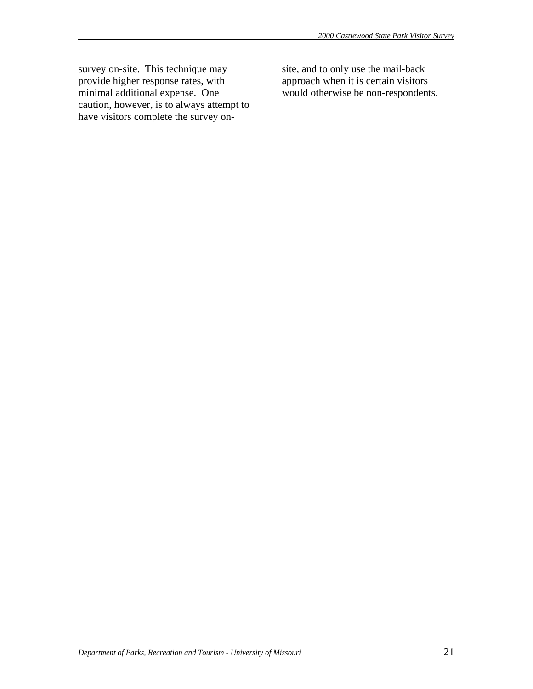survey on-site. This technique may provide higher response rates, with minimal additional expense. One caution, however, is to always attempt to have visitors complete the survey onsite, and to only use the mail-back approach when it is certain visitors would otherwise be non-respondents.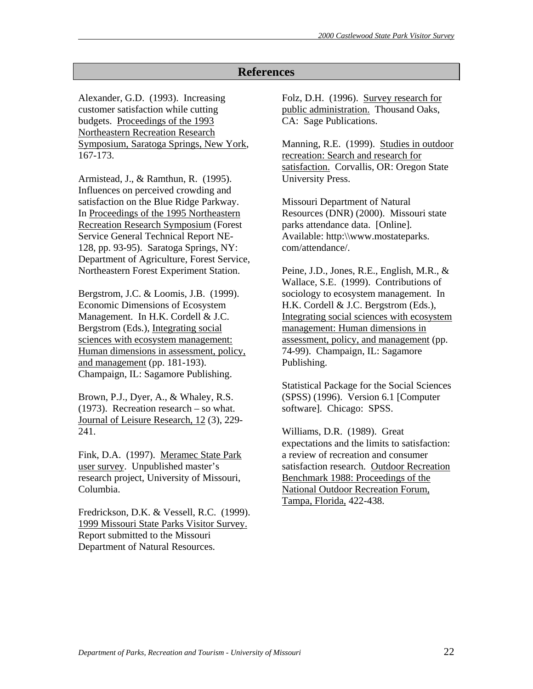# **References**

Alexander, G.D. (1993). Increasing customer satisfaction while cutting budgets. Proceedings of the 1993 Northeastern Recreation Research Symposium, Saratoga Springs, New York, 167-173.

Armistead, J., & Ramthun, R. (1995). Influences on perceived crowding and satisfaction on the Blue Ridge Parkway. In Proceedings of the 1995 Northeastern Recreation Research Symposium (Forest Service General Technical Report NE-128, pp. 93-95). Saratoga Springs, NY: Department of Agriculture, Forest Service, Northeastern Forest Experiment Station.

Bergstrom, J.C. & Loomis, J.B. (1999). Economic Dimensions of Ecosystem Management. In H.K. Cordell & J.C. Bergstrom (Eds.), Integrating social sciences with ecosystem management: Human dimensions in assessment, policy, and management (pp. 181-193). Champaign, IL: Sagamore Publishing.

Brown, P.J., Dyer, A., & Whaley, R.S. (1973). Recreation research – so what. Journal of Leisure Research, 12 (3), 229- 241.

Fink, D.A. (1997). Meramec State Park user survey. Unpublished master's research project, University of Missouri, Columbia.

Fredrickson, D.K. & Vessell, R.C. (1999). 1999 Missouri State Parks Visitor Survey. Report submitted to the Missouri Department of Natural Resources.

Folz, D.H. (1996). Survey research for public administration. Thousand Oaks, CA: Sage Publications.

Manning, R.E. (1999). Studies in outdoor recreation: Search and research for satisfaction. Corvallis, OR: Oregon State University Press.

Missouri Department of Natural Resources (DNR) (2000). Missouri state parks attendance data. [Online]. Available: http:\\www.mostateparks. com/attendance/.

Peine, J.D., Jones, R.E., English, M.R., & Wallace, S.E. (1999). Contributions of sociology to ecosystem management. In H.K. Cordell & J.C. Bergstrom (Eds.), Integrating social sciences with ecosystem management: Human dimensions in assessment, policy, and management (pp. 74-99). Champaign, IL: Sagamore Publishing.

Statistical Package for the Social Sciences (SPSS) (1996). Version 6.1 [Computer software]. Chicago: SPSS.

Williams, D.R. (1989). Great expectations and the limits to satisfaction: a review of recreation and consumer satisfaction research. Outdoor Recreation Benchmark 1988: Proceedings of the National Outdoor Recreation Forum, Tampa, Florida, 422-438.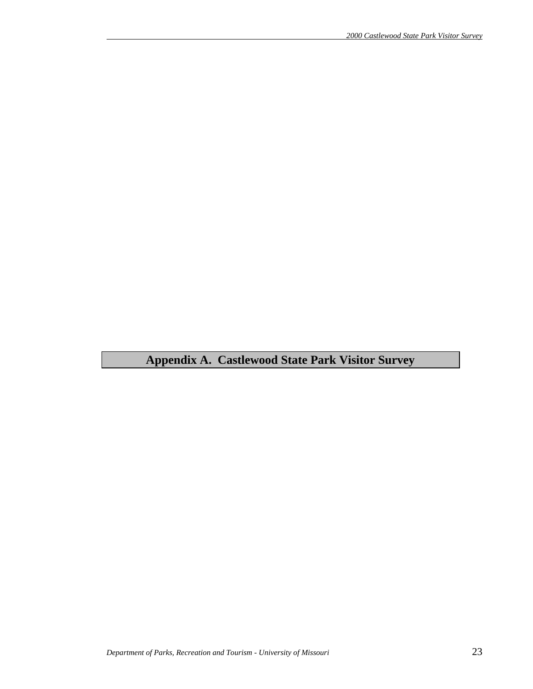**Appendix A. Castlewood State Park Visitor Survey**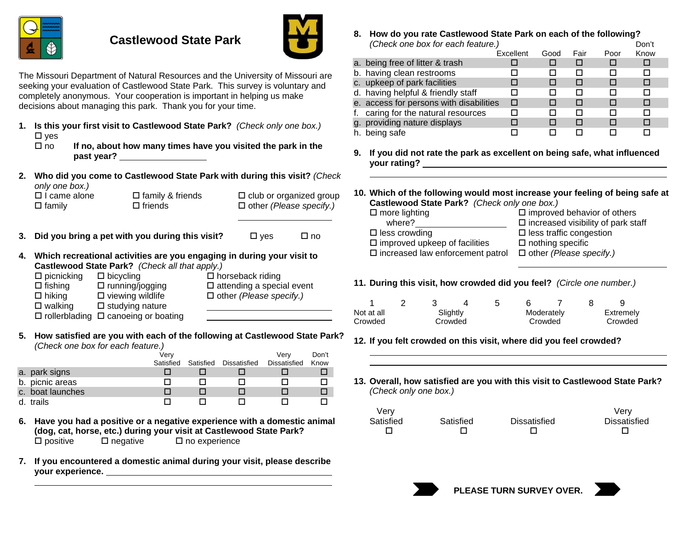

# **Castlewood State Park**



 $\Box$  no

The Missouri Department of Natural Resources and the University of Missouri are seeking your evaluation of Castlewood State Park. This survey is voluntary and completely anonymous. Your cooperation is important in helping us make decisions about managing this park. Thank you for your time.

- **1. Is this your first visit to Castlewood State Park?** *(Check only one box.)*  $\square$  ves
	- □ no **If no, about how many times have you visited the park in the past year?**
- **2. Who did you come to Castlewood State Park with during this visit?** *(Check only one box.)*

| UTITY UTTO DUX.     |                         |                                |
|---------------------|-------------------------|--------------------------------|
| $\Box$ I came alone | $\Box$ family & friends | $\Box$ club or organized group |
| $\square$ family    | $\Box$ friends          | $\Box$ other (Please specify.) |
|                     |                         |                                |

- **3. Did you bring a pet with you during this visit?**  $\square$  yes
- **4. Which recreational activities are you engaging in during your visit to Castlewood State Park?** *(Check all that apply.)*

| $\Box$ picnicking | $\Box$ bicycling                                | $\Box$ horseback riding          |
|-------------------|-------------------------------------------------|----------------------------------|
| $\Box$ fishing    | $\Box$ running/jogging                          | $\Box$ attending a special event |
| $\Box$ hiking     | $\square$ viewing wildlife                      | $\Box$ other (Please specify.)   |
| $\square$ walking | $\Box$ studying nature                          |                                  |
|                   | $\Box$ rollerblading $\Box$ canoeing or boating |                                  |

**5. How satisfied are you with each of the following at Castlewood State Park?** *(Check one box for each feature.)*

|                  | Verv      |           |              | Verv         | Don't |
|------------------|-----------|-----------|--------------|--------------|-------|
|                  | Satisfied | Satisfied | Dissatisfied | Dissatisfied | Know  |
| a. park signs    |           |           |              |              |       |
| b. picnic areas  |           |           |              |              |       |
| c. boat launches |           |           |              |              |       |
| d. trails        |           |           |              |              |       |

- **6. Have you had a positive or a negative experience with a domestic animal (dog, cat, horse, etc.) during your visit at Castlewood State Park?**  $\square$  positive  $\square$  negative  $\square$  no experience
- **7. If you encountered a domestic animal during your visit, please describe your experience.**

**8. How do you rate Castlewood State Park on each of the following?** *(Check one box for each feature.)* Don't

|                                         |           |      |      |      | <b>DUIL</b> |  |
|-----------------------------------------|-----------|------|------|------|-------------|--|
|                                         | Excellent | Good | Fair | Poor | Know        |  |
| a. being free of litter & trash         |           |      |      |      |             |  |
| b. having clean restrooms               |           |      |      |      | ΙI          |  |
| c. upkeep of park facilities            |           |      |      |      | □           |  |
| d. having helpful & friendly staff      |           |      |      |      | П           |  |
| e. access for persons with disabilities | □         |      | П    |      | п           |  |
| f. caring for the natural resources     | п         |      | п    | П    | п           |  |
| g. providing nature displays            |           |      |      |      | П           |  |
| h. being safe                           |           |      |      |      |             |  |
|                                         |           |      |      |      |             |  |

- **9. If you did not rate the park as excellent on being safe, what influenced your rating?**
- **10. Which of the following would most increase your feeling of being safe at Castlewood State Park?** *(Check only one box.)*

| $\square$ more lighting                    | $\square$ improved behavior of others        |
|--------------------------------------------|----------------------------------------------|
| where?                                     | $\square$ increased visibility of park staff |
| $\square$ less crowding                    | $\Box$ less traffic congestion               |
| $\square$ improved upkeep of facilities    | $\Box$ nothing specific                      |
| $\square$ increased law enforcement patrol | $\Box$ other (Please specify.)               |
|                                            |                                              |

**11. During this visit, how crowded did you feel?** *(Circle one number.)*

|            |         |          |  |         |            |  | ч         |
|------------|---------|----------|--|---------|------------|--|-----------|
| Not at all |         | Slightly |  |         | Moderately |  | Extremely |
| Crowded    | Crowded |          |  | Crowded |            |  | Crowded   |

# **12. If you felt crowded on this visit, where did you feel crowded?**

**13. Overall, how satisfied are you with this visit to Castlewood State Park?** *(Check only one box.)*

| Very      |           |              | Verv         |
|-----------|-----------|--------------|--------------|
| Satisfied | Satisfied | Dissatisfied | Dissatisfied |
|           |           |              |              |

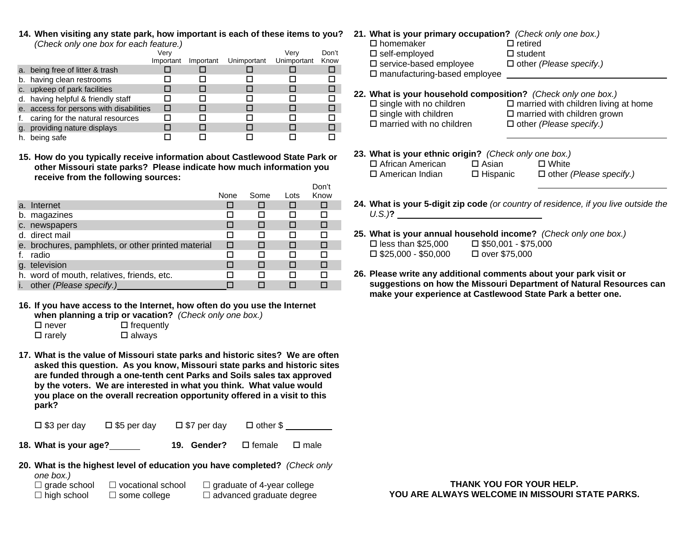**14. When visiting any state park, how important is each of these items to you?** *(Check only one box for each feature.)*

|    |                                         | Verv      |           |             | Verv        | Don't |
|----|-----------------------------------------|-----------|-----------|-------------|-------------|-------|
|    |                                         | Important | Important | Unimportant | Unimportant | Know  |
|    | a. being free of litter & trash         |           |           |             |             |       |
|    | b. having clean restrooms               |           |           |             |             |       |
|    | c. upkeep of park facilities            |           |           |             |             |       |
|    | d. having helpful & friendly staff      |           |           |             |             |       |
|    | e. access for persons with disabilities |           |           |             |             |       |
|    | caring for the natural resources        |           |           |             |             |       |
|    | g. providing nature displays            |           |           |             |             |       |
| h. | being safe                              |           |           |             |             |       |

**15. How do you typically receive information about Castlewood State Park or other Missouri state parks? Please indicate how much information you receive from the following sources:**

|                                                    |      |      |      | -    |
|----------------------------------------------------|------|------|------|------|
|                                                    | None | Some | Lots | Know |
| a. Internet                                        |      |      |      |      |
| b. magazines                                       |      |      |      | п    |
| c. newspapers                                      |      |      | П    |      |
| d. direct mail                                     |      |      | ш    | П    |
| e. brochures, pamphlets, or other printed material | □    |      |      |      |
| radio                                              |      |      | П    | П    |
| g. television                                      |      |      | ⊓    |      |
| h. word of mouth, relatives, friends, etc.         |      |      |      |      |
| other (Please specify.)                            |      |      |      |      |

**16. If you have access to the Internet, how often do you use the Internet when planning a trip or vacation?** *(Check only one box.)*

| $\Box$ never  | $\Box$ frequently |
|---------------|-------------------|
| $\Box$ rarely | $\square$ always  |

**17. What is the value of Missouri state parks and historic sites? We are often asked this question. As you know, Missouri state parks and historic sites are funded through a one-tenth cent Parks and Soils sales tax approved by the voters. We are interested in what you think. What value would you place on the overall recreation opportunity offered in a visit to this park?**

| $\square$ \$3 per day | $\square$ \$5 per day | $\square$ \$7 per day | $\Box$ other $\$\$ |  |
|-----------------------|-----------------------|-----------------------|--------------------|--|
|-----------------------|-----------------------|-----------------------|--------------------|--|

- **18. What is your age? 19. Gender?**  $\square$  female  $\Box$  male
- **20. What is the highest level of education you have completed?** *(Check only one box.)*  $\Box$  grade school  $\Box$  vocational school  $\Box$  graduate of 4-year college

 $\Box$  high school  $\square$  some college  $\Box$  advanced graduate degree

- **21. What is your primary occupation?** *(Check only one box.)*
	- $\square$  homemaker  $\Box$  retired  $\square$  self-employed  $\square$  student other *(Please specify.)* □ service-based employee  $\square$  manufacturing-based employee
- **22. What is your household composition?** *(Check only one box.)*
	- $\square$  single with no children  $\square$  single with children  $\Pi$  married with no children

 $\square$  married with children living at home  $\square$  married with children grown other *(Please specify.)*

**23. What is your ethnic origin?** *(Check only one box.)* □ African American  $\square$  Asian □ White

American Indian

Don't

 $\Box$  Hispanic

other *(Please specify.)*

- **24. What is your 5-digit zip code** *(or country of residence, if you live outside the U.S.)* **?**
- **25. What is your annual household income?** *(Check only one box.)*  $\square$  less than \$25,000  $\square$  \$50,001 - \$75,000  $\square$  \$25,000 - \$50,000 over \$75,000
- **26. Please write any additional comments about your park visit or suggestions on how the Missouri Department of Natural Resources can make your experience at Castlewood State Park a better one.**

**THANK YOU FOR YOUR HELP. YOU ARE ALWAYS WELCOME IN MISSOURI STATE PARKS.**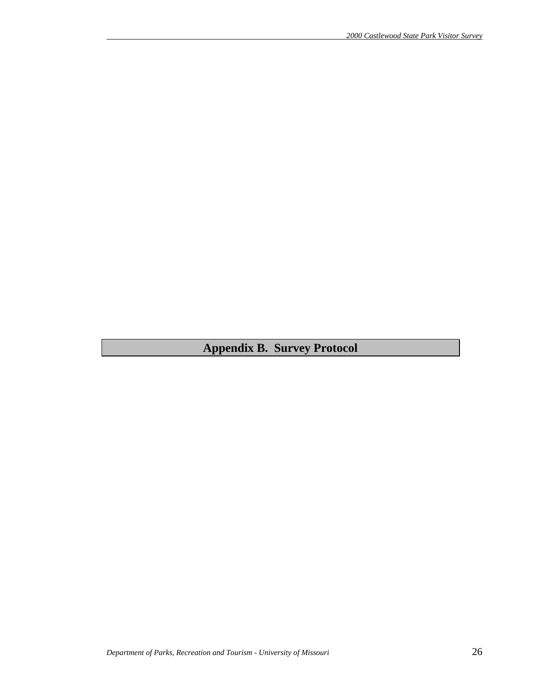**Appendix B. Survey Protocol**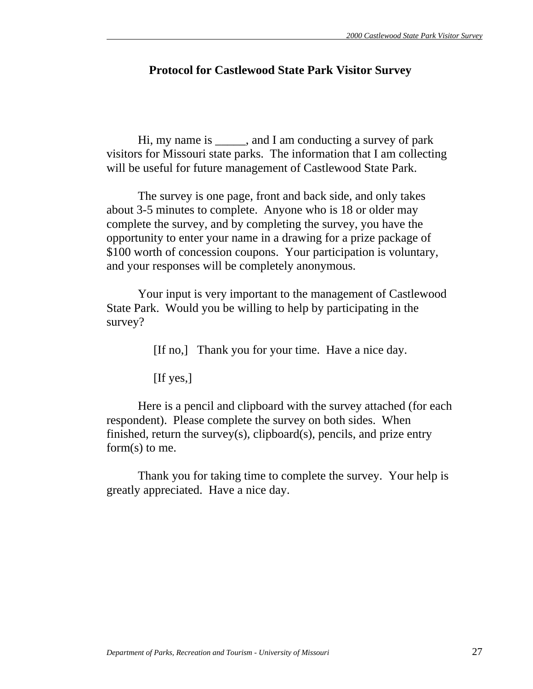# **Protocol for Castlewood State Park Visitor Survey**

 Hi, my name is \_\_\_\_\_, and I am conducting a survey of park visitors for Missouri state parks. The information that I am collecting will be useful for future management of Castlewood State Park.

 The survey is one page, front and back side, and only takes about 3-5 minutes to complete. Anyone who is 18 or older may complete the survey, and by completing the survey, you have the opportunity to enter your name in a drawing for a prize package of \$100 worth of concession coupons. Your participation is voluntary, and your responses will be completely anonymous.

 Your input is very important to the management of Castlewood State Park. Would you be willing to help by participating in the survey?

[If no,] Thank you for your time. Have a nice day.

[If yes,]

 Here is a pencil and clipboard with the survey attached (for each respondent). Please complete the survey on both sides. When finished, return the survey(s), clipboard(s), pencils, and prize entry form(s) to me.

 Thank you for taking time to complete the survey. Your help is greatly appreciated. Have a nice day.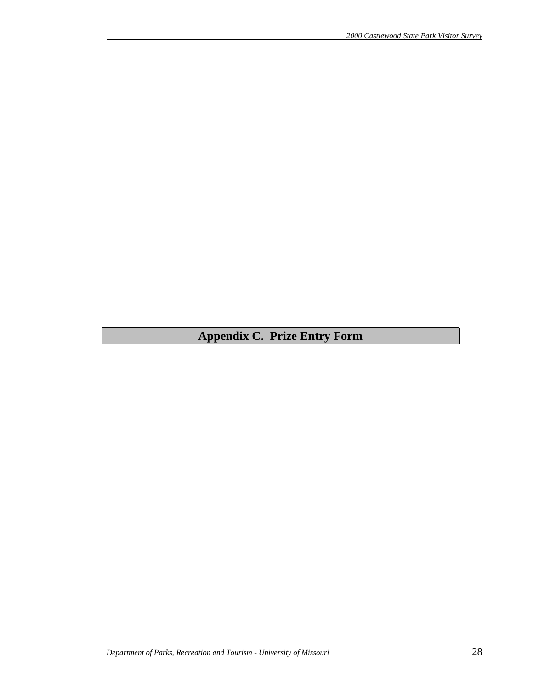# **Appendix C. Prize Entry Form**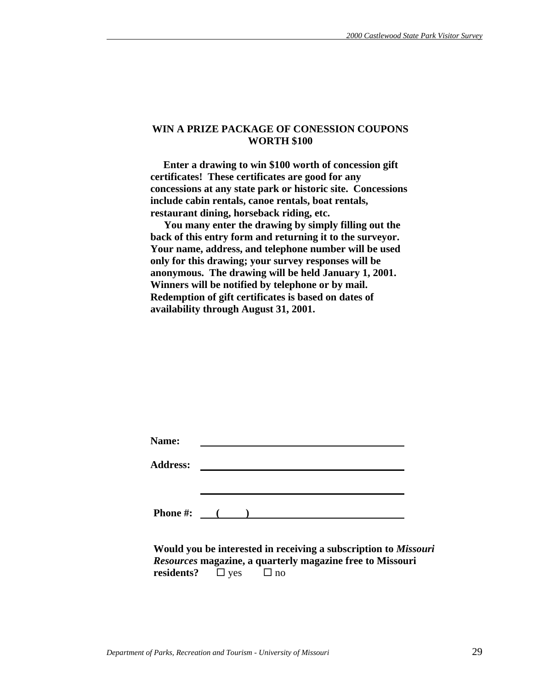#### **WIN A PRIZE PACKAGE OF CONESSION COUPONS WORTH \$100**

 **Enter a drawing to win \$100 worth of concession gift certificates! These certificates are good for any concessions at any state park or historic site. Concessions include cabin rentals, canoe rentals, boat rentals, restaurant dining, horseback riding, etc.** 

 **You many enter the drawing by simply filling out the back of this entry form and returning it to the surveyor. Your name, address, and telephone number will be used only for this drawing; your survey responses will be anonymous. The drawing will be held January 1, 2001. Winners will be notified by telephone or by mail. Redemption of gift certificates is based on dates of availability through August 31, 2001.** 

| Name:           |  |  |  |
|-----------------|--|--|--|
| <b>Address:</b> |  |  |  |
|                 |  |  |  |
|                 |  |  |  |
| Phone #:        |  |  |  |

 **Would you be interested in receiving a subscription to** *Missouri Resources* **magazine, a quarterly magazine free to Missouri residents?**  $\Box$  yes  $\Box$  no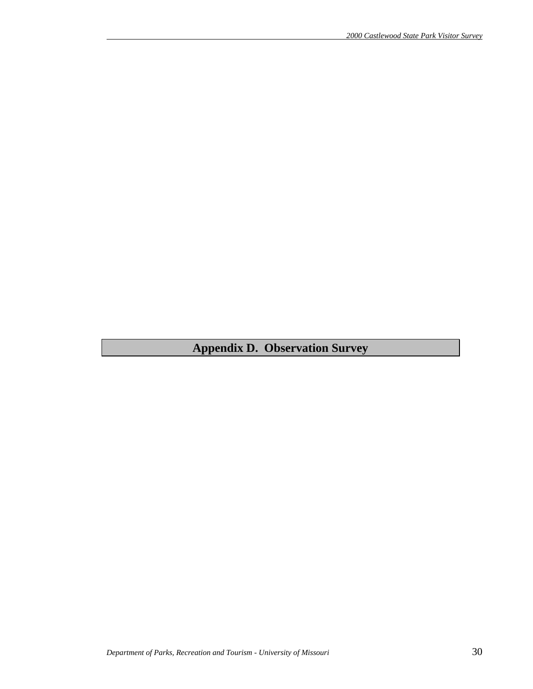# **Appendix D. Observation Survey**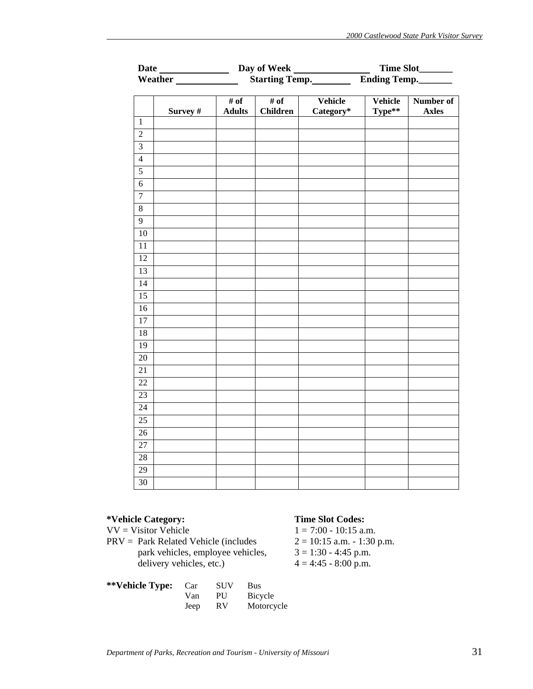|                  |          |                       | Day of Week             | Time Slot________    |                   |                           |
|------------------|----------|-----------------------|-------------------------|----------------------|-------------------|---------------------------|
|                  |          |                       | Starting Temp.          |                      |                   | Ending Temp.              |
|                  | Survey # | # of<br><b>Adults</b> | # of<br><b>Children</b> | Vehicle<br>Category* | Vehicle<br>Type** | Number of<br><b>Axles</b> |
| $\,1\,$          |          |                       |                         |                      |                   |                           |
| $\overline{2}$   |          |                       |                         |                      |                   |                           |
| $\overline{3}$   |          |                       |                         |                      |                   |                           |
| $\overline{4}$   |          |                       |                         |                      |                   |                           |
| $\overline{5}$   |          |                       |                         |                      |                   |                           |
| $\sqrt{6}$       |          |                       |                         |                      |                   |                           |
| $\boldsymbol{7}$ |          |                       |                         |                      |                   |                           |
| $\overline{8}$   |          |                       |                         |                      |                   |                           |
| $\overline{9}$   |          |                       |                         |                      |                   |                           |
| $10\,$           |          |                       |                         |                      |                   |                           |
| 11               |          |                       |                         |                      |                   |                           |
| 12               |          |                       |                         |                      |                   |                           |
| 13               |          |                       |                         |                      |                   |                           |
| 14               |          |                       |                         |                      |                   |                           |
| 15               |          |                       |                         |                      |                   |                           |
| 16               |          |                       |                         |                      |                   |                           |
| 17               |          |                       |                         |                      |                   |                           |
| 18               |          |                       |                         |                      |                   |                           |
| $\overline{19}$  |          |                       |                         |                      |                   |                           |
| $20\,$           |          |                       |                         |                      |                   |                           |
| 21               |          |                       |                         |                      |                   |                           |
| $22\,$           |          |                       |                         |                      |                   |                           |
| 23               |          |                       |                         |                      |                   |                           |
| 24               |          |                       |                         |                      |                   |                           |
| $\overline{25}$  |          |                       |                         |                      |                   |                           |
| 26               |          |                       |                         |                      |                   |                           |
| $\overline{27}$  |          |                       |                         |                      |                   |                           |
| 28               |          |                       |                         |                      |                   |                           |
| 29               |          |                       |                         |                      |                   |                           |
| $\overline{30}$  |          |                       |                         |                      |                   |                           |

PRV = Park Related Vehicle (includes  $2 = 10:15$  a.m. - 1:30 p.m.  $3 = 1:30$  - 4:45 p.m. park vehicles, employee vehicles, delivery vehicles, etc.)  $4 = 4:45 - 8:00 \text{ p.m.}$ 

| **Vehicle Type: | Car  | <b>SUV</b> | Bus        |
|-----------------|------|------------|------------|
|                 | Van  | PU         | Bicycle    |
|                 | Jeep | <b>RV</b>  | Motorcycle |

# **\*Vehicle Category: Time Slot Codes:**

VV = Visitor Vehicle  $1 = 7:00 - 10:15$  a.m.<br>PRV = Park Related Vehicle (includes  $2 = 10:15$  a.m. - 1:30 p.m.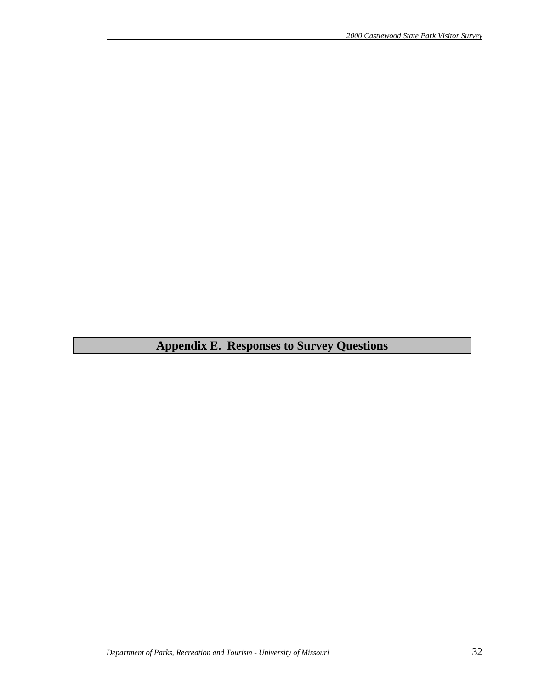# **Appendix E. Responses to Survey Questions**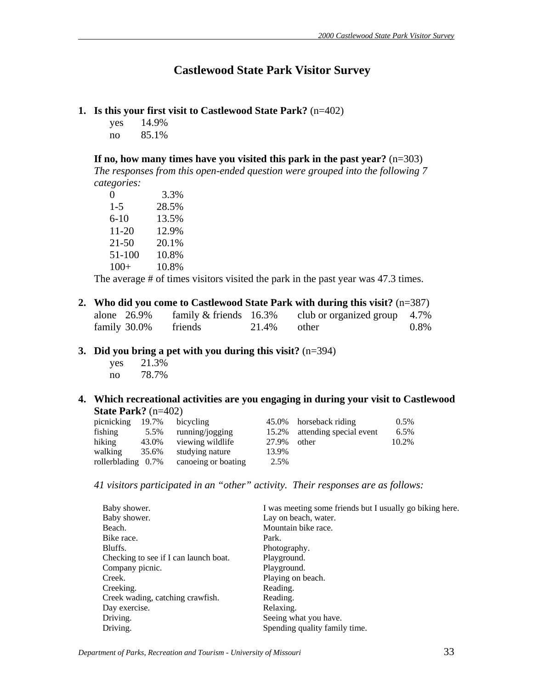# **Castlewood State Park Visitor Survey**

#### **1. Is this your first visit to Castlewood State Park?** (n=402)

yes 14.9% no 85.1%

**If no, how many times have you visited this park in the past year?** (n=303)

*The responses from this open-ended question were grouped into the following 7 categories:*

| 0          | 3.3%  |
|------------|-------|
| $1 - 5$    | 28.5% |
| $6 - 10$   | 13.5% |
| 11-20      | 12.9% |
| $21 - 50$  | 20.1% |
| $51 - 100$ | 10.8% |
| $100+$     | 10.8% |

The average # of times visitors visited the park in the past year was 47.3 times.

|  |              |                          |       | 2. Who did you come to Castlewood State Park with during this visit? $(n=387)$ |      |
|--|--------------|--------------------------|-------|--------------------------------------------------------------------------------|------|
|  | alone 26.9%  | family $&$ friends 16.3% |       | club or organized group 4.7%                                                   |      |
|  | family 30.0% | friends                  | 21.4% | other                                                                          | 0.8% |

# **3. Did you bring a pet with you during this visit?** (n=394)

 yes 21.3% no 78.7%

#### **4. Which recreational activities are you engaging in during your visit to Castlewood State Park?** (n=402)

| picnicking            | 19.7% | bicycling           |       | 45.0% horseback riding        | $0.5\%$ |
|-----------------------|-------|---------------------|-------|-------------------------------|---------|
| fishing               | 5.5%  | running/jogging     |       | 15.2% attending special event | $6.5\%$ |
| hiking                | 43.0% | viewing wildlife    | 27.9% | other                         | 10.2%   |
| walking               | 35.6% | studying nature     | 13.9% |                               |         |
| rollerblading $0.7\%$ |       | canoeing or boating | 2.5%  |                               |         |

*41 visitors participated in an "other" activity. Their responses are as follows:*

| Baby shower.                          | I was meeting some friends but I usually go biking here. |
|---------------------------------------|----------------------------------------------------------|
| Baby shower.                          | Lay on beach, water.                                     |
| Beach.                                | Mountain bike race.                                      |
| Bike race.                            | Park.                                                    |
| Bluffs.                               | Photography.                                             |
| Checking to see if I can launch boat. | Playground.                                              |
| Company picnic.                       | Playground.                                              |
| Creek.                                | Playing on beach.                                        |
| Creeking.                             | Reading.                                                 |
| Creek wading, catching crawfish.      | Reading.                                                 |
| Day exercise.                         | Relaxing.                                                |
| Driving.                              | Seeing what you have.                                    |
| Driving.                              | Spending quality family time.                            |

*Department of Parks, Recreation and Tourism - University of Missouri* 33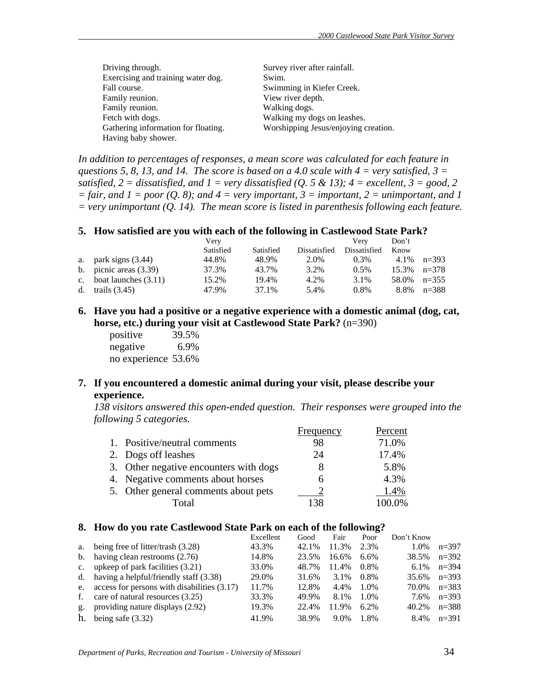| Driving through.                    | Survey river after rainfall.         |
|-------------------------------------|--------------------------------------|
| Exercising and training water dog.  | Swim.                                |
| Fall course.                        | Swimming in Kiefer Creek.            |
| Family reunion.                     | View river depth.                    |
| Family reunion.                     | Walking dogs.                        |
| Fetch with dogs.                    | Walking my dogs on leashes.          |
| Gathering information for floating. | Worshipping Jesus/enjoying creation. |
| Having baby shower.                 |                                      |

*In addition to percentages of responses, a mean score was calculated for each feature in questions 5, 8, 13, and 14. The score is based on a 4.0 scale with 4 = very satisfied, 3 = satisfied,*  $2 = dissatisfied$ , and  $1 = very dissatisfied$  (Q. 5 & 13);  $4 = excellent$ ,  $3 = good$ , 2  $=$  fair, and  $1 =$  poor (Q. 8); and  $4 =$  very important,  $3 =$  important,  $2 =$  unimportant, and  $1$ *= very unimportant (Q. 14). The mean score is listed in parenthesis following each feature.* 

#### **5. How satisfied are you with each of the following in Castlewood State Park?**

|                           | Verv      |           |              | Verv         | Don't |           |
|---------------------------|-----------|-----------|--------------|--------------|-------|-----------|
|                           | Satisfied | Satisfied | Dissatisfied | Dissatisfied | Know  |           |
| a. park signs $(3.44)$    | 44.8%     | 48.9%     | 2.0%         | $0.3\%$      | 4.1%  | $n=393$   |
| b. picnic areas $(3.39)$  | 37.3%     | 43.7%     | 3.2%         | $0.5\%$      | 15.3% | $n=378$   |
| c. boat launches $(3.11)$ | 15.2%     | 19.4%     | 4.2%         | 3.1%         | 58.0% | $n=355$   |
| d. trails $(3.45)$        | 47.9%     | 37.1%     | 5.4%         | $0.8\%$      | 8.8%  | $n = 388$ |

**6. Have you had a positive or a negative experience with a domestic animal (dog, cat, horse, etc.) during your visit at Castlewood State Park?** (n=390)

 positive 39.5% negative 6.9% no experience 53.6%

# **7. If you encountered a domestic animal during your visit, please describe your experience.**

*138 visitors answered this open-ended question. Their responses were grouped into the following 5 categories.*

|                                        | Frequency | Percent |
|----------------------------------------|-----------|---------|
| 1. Positive/neutral comments           | 98        | 71.0%   |
| 2. Dogs off leashes                    | 24        | 17.4%   |
| 3. Other negative encounters with dogs |           | 5.8%    |
| 4. Negative comments about horses      |           | 4.3%    |
| 5. Other general comments about pets   |           | 1.4%    |
| Total                                  |           | 100.0%  |

#### **8. How do you rate Castlewood State Park on each of the following?**

|                |                                                | Excellent | Good  | Fair  | Poor    | Don't Know |           |
|----------------|------------------------------------------------|-----------|-------|-------|---------|------------|-----------|
|                | a. being free of litter/trash (3.28)           | 43.3%     | 42.1% | 11.3% | 2.3%    | 1.0%       | $n=397$   |
|                | b. having clean restrooms $(2.76)$             | 14.8%     | 23.5% | 16.6% | 6.6%    | 38.5%      | $n=392$   |
|                | c. upkeep of park facilities $(3.21)$          | 33.0%     | 48.7% | 11.4% | $0.8\%$ | 6.1%       | $n=394$   |
|                | d. having a helpful/friendly staff $(3.38)$    | 29.0%     | 31.6% | 3.1%  | $0.8\%$ | 35.6%      | $n=393$   |
|                | e. access for persons with disabilities (3.17) | 11.7%     | 12.8% | 4.4%  | 1.0%    | 70.0%      | $n=383$   |
| f.             | care of natural resources (3.25)               | 33.3%     | 49.9% | 8.1%  | 1.0%    | 7.6%       | $n=393$   |
| g <sub>z</sub> | providing nature displays (2.92)               | 19.3%     | 22.4% | 11.9% | $6.2\%$ | 40.2%      | $n = 388$ |
| h.             | being safe $(3.32)$                            | 41.9%     | 38.9% | 9.0%  | 1.8%    | 8.4%       | $n=391$   |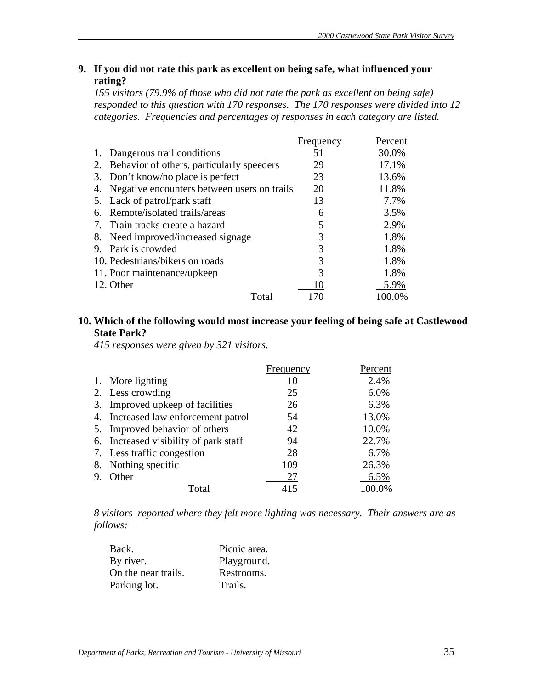# **9. If you did not rate this park as excellent on being safe, what influenced your rating?**

*155 visitors (79.9% of those who did not rate the park as excellent on being safe) responded to this question with 170 responses. The 170 responses were divided into 12 categories. Frequencies and percentages of responses in each category are listed.* 

|    |                                             | Frequency | Percent |
|----|---------------------------------------------|-----------|---------|
| 1. | Dangerous trail conditions                  | 51        | 30.0%   |
| 2. | Behavior of others, particularly speeders   | 29        | 17.1%   |
| 3. | Don't know/no place is perfect              | 23        | 13.6%   |
| 4. | Negative encounters between users on trails | 20        | 11.8%   |
|    | 5. Lack of patrol/park staff                | 13        | 7.7%    |
| 6. | Remote/isolated trails/areas                | 6         | 3.5%    |
| 7. | Train tracks create a hazard                | 5         | 2.9%    |
| 8. | Need improved/increased signage             | 3         | 1.8%    |
| 9. | Park is crowded                             | 3         | 1.8%    |
|    | 10. Pedestrians/bikers on roads             | 3         | 1.8%    |
|    | 11. Poor maintenance/upkeep                 | 3         | 1.8%    |
|    | 12. Other                                   | 10        | 5.9%    |
|    | Total                                       |           | 100.0%  |

# **10. Which of the following would most increase your feeling of being safe at Castlewood State Park?**

*415 responses were given by 321 visitors.*

|                                       | Frequency | Percent |
|---------------------------------------|-----------|---------|
| 1. More lighting                      | 10        | 2.4%    |
| 2. Less crowding                      | 25        | 6.0%    |
| 3. Improved upkeep of facilities      | 26        | 6.3%    |
| 4. Increased law enforcement patrol   | 54        | 13.0%   |
| 5. Improved behavior of others        | 42        | 10.0%   |
| 6. Increased visibility of park staff | 94        | 22.7%   |
| 7. Less traffic congestion            | 28        | 6.7%    |
| 8. Nothing specific                   | 109       | 26.3%   |
| Other                                 | 27        | 6.5%    |
| Total                                 | 415       | 100.0%  |

*8 visitors reported where they felt more lighting was necessary. Their answers are as follows:*

| Back.               | Picnic area. |
|---------------------|--------------|
| By river.           | Playground.  |
| On the near trails. | Restrooms.   |
| Parking lot.        | Trails.      |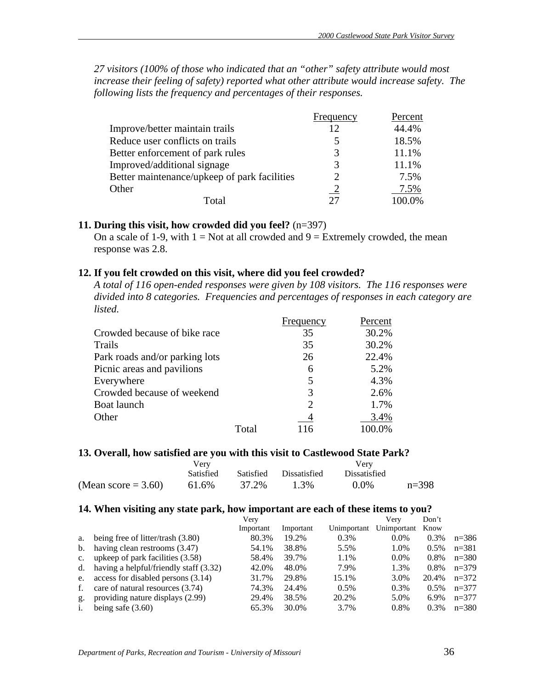*27 visitors (100% of those who indicated that an "other" safety attribute would most increase their feeling of safety) reported what other attribute would increase safety. The following lists the frequency and percentages of their responses.*

|                                              | Frequency      | Percent |
|----------------------------------------------|----------------|---------|
| Improve/better maintain trails               | 12             | 44.4%   |
| Reduce user conflicts on trails              | 5              | 18.5%   |
| Better enforcement of park rules             | 3              | 11.1%   |
| Improved/additional signage                  | 3              | 11.1%   |
| Better maintenance/upkeep of park facilities | ာ              | 7.5%    |
| Other                                        | $\overline{2}$ | 7.5%    |
| Total                                        | つつ             |         |

#### **11. During this visit, how crowded did you feel?** (n=397)

On a scale of 1-9, with  $1 = Not$  at all crowded and  $9 = Extremely$  crowded, the mean response was 2.8.

#### **12. If you felt crowded on this visit, where did you feel crowded?**

*A total of 116 open-ended responses were given by 108 visitors. The 116 responses were divided into 8 categories. Frequencies and percentages of responses in each category are listed.* 

|                                |       | Frequency      | Percent |
|--------------------------------|-------|----------------|---------|
| Crowded because of bike race   |       | 35             | 30.2%   |
| Trails                         |       | 35             | 30.2%   |
| Park roads and/or parking lots |       | 26             | 22.4%   |
| Picnic areas and pavilions     |       | 6              | 5.2%    |
| Everywhere                     |       | 5              | 4.3%    |
| Crowded because of weekend     |       | 3              | 2.6%    |
| Boat launch                    |       | $\mathfrak{D}$ | 1.7%    |
| Other                          |       |                | 3.4%    |
|                                | Total | 116            |         |

#### 13. Overall, how satisfied are you with this visit to Castlewood State Park?

|                        | Verv             |       |                        |              |         |
|------------------------|------------------|-------|------------------------|--------------|---------|
|                        | <b>Satisfied</b> |       | Satisfied Dissatisfied | Dissatisfied |         |
| (Mean score $= 3.60$ ) | 61.6%            | 37.2% | 1.3%                   | $0.0\%$      | $n=398$ |

#### **14. When visiting any state park, how important are each of these items to you?**

|             |                                        | Very      |           |             | Verv        | Don't   |           |
|-------------|----------------------------------------|-----------|-----------|-------------|-------------|---------|-----------|
|             |                                        | Important | Important | Unimportant | Unimportant | Know    |           |
| a.          | being free of litter/trash (3.80)      | 80.3%     | 19.2%     | 0.3%        | $0.0\%$     | 0.3%    | $n = 386$ |
| b.          | having clean restrooms (3.47)          | 54.1%     | 38.8%     | 5.5%        | 1.0%        | $0.5\%$ | $n = 381$ |
| $c_{\cdot}$ | upkeep of park facilities (3.58)       | 58.4%     | 39.7%     | 1.1%        | $0.0\%$     | 0.8%    | $n = 380$ |
| d.          | having a helpful/friendly staff (3.32) | 42.0%     | 48.0%     | 7.9%        | 1.3%        | $0.8\%$ | $n=379$   |
| e.          | access for disabled persons (3.14)     | 31.7%     | 29.8%     | 15.1%       | 3.0%        | 20.4%   | $n=372$   |
| f.          | care of natural resources (3.74)       | 74.3%     | 24.4%     | 0.5%        | 0.3%        | $0.5\%$ | $n=377$   |
| g.          | providing nature displays (2.99)       | 29.4%     | 38.5%     | 20.2%       | 5.0%        | 6.9%    | $n=377$   |
| i.          | being safe $(3.60)$                    | 65.3%     | 30.0%     | 3.7%        | 0.8%        | $0.3\%$ | $n = 380$ |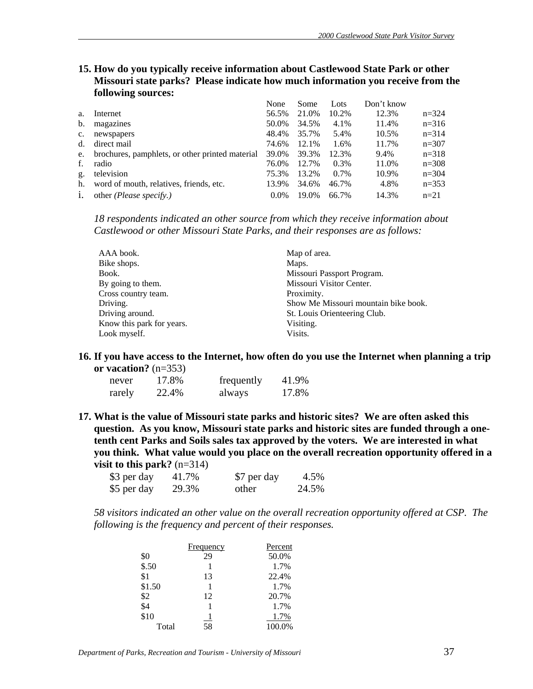**15. How do you typically receive information about Castlewood State Park or other Missouri state parks? Please indicate how much information you receive from the following sources:**

|                |                                                 | None    | Some  | Lots  | Don't know |           |
|----------------|-------------------------------------------------|---------|-------|-------|------------|-----------|
| a.             | Internet                                        | 56.5%   | 21.0% | 10.2% | 12.3%      | $n=324$   |
| $\mathbf b$ .  | magazines                                       | 50.0%   | 34.5% | 4.1%  | 11.4%      | $n=316$   |
| $\mathbf{c}$ . | newspapers                                      | 48.4%   | 35.7% | 5.4%  | 10.5%      | $n=314$   |
| d.             | direct mail                                     | 74.6%   | 12.1% | 1.6%  | 11.7%      | $n=307$   |
| e.             | brochures, pamphlets, or other printed material | 39.0%   | 39.3% | 12.3% | 9.4%       | $n=318$   |
| f.             | radio                                           | 76.0%   | 12.7% | 0.3%  | 11.0%      | $n=308$   |
| g.             | television                                      | 75.3%   | 13.2% | 0.7%  | 10.9%      | $n = 304$ |
| h.             | word of mouth, relatives, friends, etc.         | 13.9%   | 34.6% | 46.7% | 4.8%       | $n=353$   |
| 1.             | other (Please specify.)                         | $0.0\%$ | 19.0% | 66.7% | 14.3%      | $n=21$    |

*18 respondents indicated an other source from which they receive information about Castlewood or other Missouri State Parks, and their responses are as follows:*

| AAA book.                 | Map of area.                         |
|---------------------------|--------------------------------------|
| Bike shops.               | Maps.                                |
| Book.                     | Missouri Passport Program.           |
| By going to them.         | Missouri Visitor Center.             |
| Cross country team.       | Proximity.                           |
| Driving.                  | Show Me Missouri mountain bike book. |
| Driving around.           | St. Louis Orienteering Club.         |
| Know this park for years. | Visiting.                            |
| Look myself.              | Visits.                              |

**16. If you have access to the Internet, how often do you use the Internet when planning a trip or vacation?** (n=353)

| never  | 17.8% | frequently | 41.9% |
|--------|-------|------------|-------|
| rarely | 22.4% | always     | 17.8% |

**17. What is the value of Missouri state parks and historic sites? We are often asked this question. As you know, Missouri state parks and historic sites are funded through a onetenth cent Parks and Soils sales tax approved by the voters. We are interested in what you think. What value would you place on the overall recreation opportunity offered in a visit to this park?** (n=314)

| \$3 per day | 41.7% | \$7 per day | 4.5%  |
|-------------|-------|-------------|-------|
| \$5 per day | 29.3% | other       | 24.5% |

*58 visitors indicated an other value on the overall recreation opportunity offered at CSP. The following is the frequency and percent of their responses.*

|        | Frequency | Percent |
|--------|-----------|---------|
| \$0    | 29        | 50.0%   |
| \$.50  |           | 1.7%    |
| \$1    | 13        | 22.4%   |
| \$1.50 |           | 1.7%    |
| \$2    | 12        | 20.7%   |
| \$4    |           | 1.7%    |
| \$10   | $\perp$   | 1.7%    |
| Total  | 58        | 100.0%  |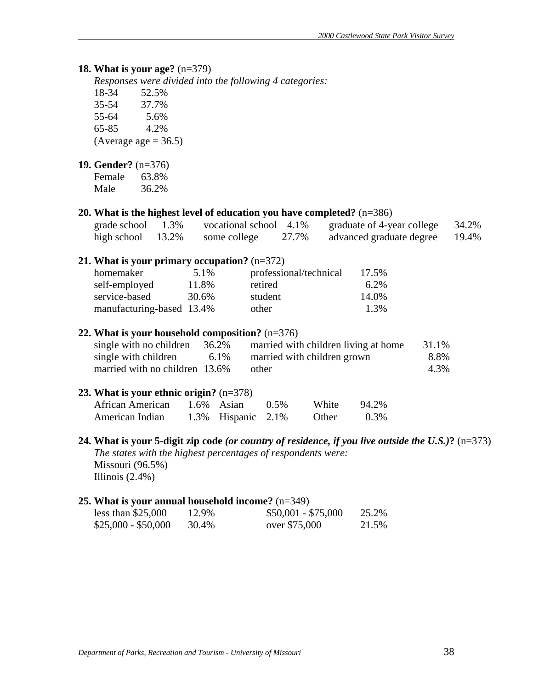# **18. What is your age?** (n=379)

*Responses were divided into the following 4 categories:*

| 18-34 | 52.5% |
|-------|-------|
| 35-54 | 37.7% |
| 55-64 | 5.6%  |

65-85 4.2%

(Average age  $= 36.5$ )

#### **19. Gender?** (n=376)

| Female | 63.8% |
|--------|-------|
| Male   | 36.2% |

#### **20. What is the highest level of education you have completed?** (n=386)

| grade school         | 1.3% | vocational school 4.1% |       | graduate of 4-year college | 34.2% |
|----------------------|------|------------------------|-------|----------------------------|-------|
| high school $13.2\%$ |      | some college           | 27.7% | advanced graduate degree   | 19.4% |

#### **21. What is your primary occupation?** (n=372)

| homemaker                 | 5.1%  | professional/technical | 17.5%   |
|---------------------------|-------|------------------------|---------|
| self-employed             | 11.8% | retired                | $6.2\%$ |
| service-based             | 30.6% | student                | 14.0%   |
| manufacturing-based 13.4% |       | other                  | 1.3%    |

#### **22. What is your household composition?** (n=376)

| single with no children        | 36.2% | married with children living at home | 31.1% |
|--------------------------------|-------|--------------------------------------|-------|
| single with children           | 6.1%  | married with children grown          | 8.8%  |
| married with no children 13.6% |       | other                                | 4.3%  |

#### **23. What is your ethnic origin?** (n=378)

| African American | $1.6\%$ Asian         | $0.5\%$ | White | 94.2% |
|------------------|-----------------------|---------|-------|-------|
| American Indian  | 1.3% Hispanic $2.1\%$ |         | Other | 0.3%  |

# **24. What is your 5-digit zip code** *(or country of residence, if you live outside the U.S.)***?** (n=373) *The states with the highest percentages of respondents were:*  Missouri (96.5%)

Illinois (2.4%)

# **25. What is your annual household income?** (n=349)

| less than $$25,000$ | 12.9% | $$50,001 - $75,000$ | 25.2% |
|---------------------|-------|---------------------|-------|
| $$25,000 - $50,000$ | 30.4% | over \$75,000       | 21.5% |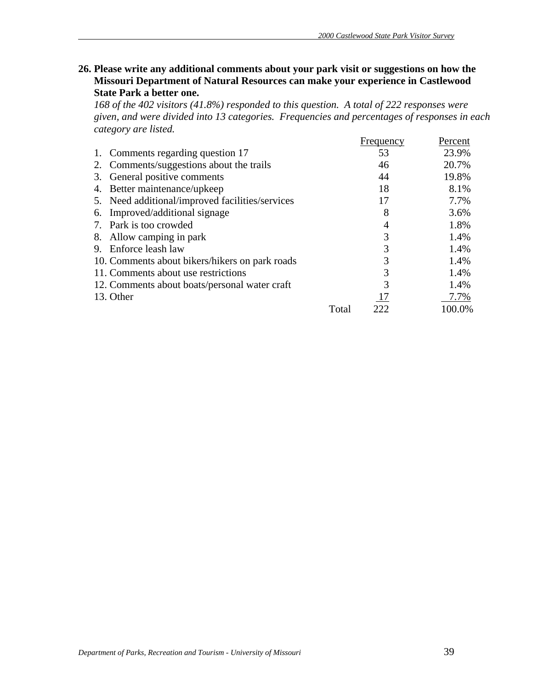**26. Please write any additional comments about your park visit or suggestions on how the Missouri Department of Natural Resources can make your experience in Castlewood State Park a better one.** 

*168 of the 402 visitors (41.8%) responded to this question. A total of 222 responses were given, and were divided into 13 categories. Frequencies and percentages of responses in each category are listed.*

|                                                 |       | Frequency | Percent |
|-------------------------------------------------|-------|-----------|---------|
| 1. Comments regarding question 17               |       | 53        | 23.9%   |
| Comments/suggestions about the trails<br>2.     |       | 46        | 20.7%   |
| General positive comments<br>3.                 |       | 44        | 19.8%   |
| 4. Better maintenance/upkeep                    |       | 18        | 8.1%    |
| 5. Need additional/improved facilities/services |       | 17        | 7.7%    |
| Improved/additional signage<br>6.               |       | 8         | 3.6%    |
| 7. Park is too crowded                          |       |           | 1.8%    |
| 8. Allow camping in park                        |       | 3         | 1.4%    |
| Enforce leash law<br>9.                         |       | 3         | 1.4%    |
| 10. Comments about bikers/hikers on park roads  |       | 3         | 1.4%    |
| 11. Comments about use restrictions             |       | 3         | 1.4%    |
| 12. Comments about boats/personal water craft   |       | 3         | 1.4%    |
| 13. Other                                       |       |           | 7.7%    |
|                                                 | Total | 222       | 100.0%  |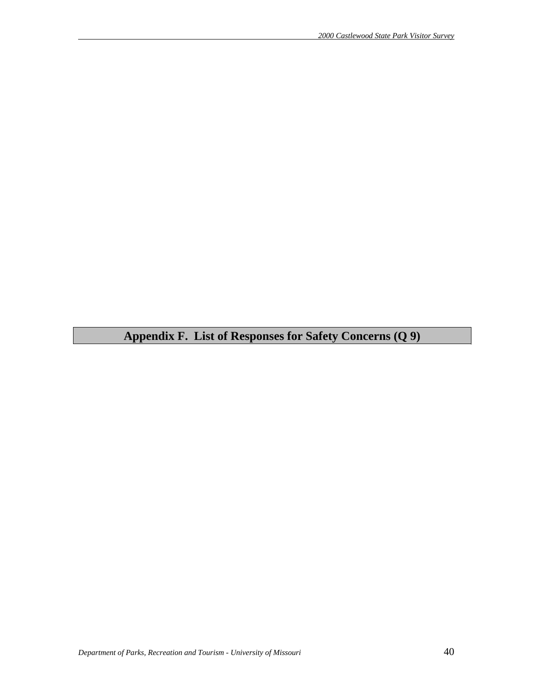# **Appendix F. List of Responses for Safety Concerns (Q 9)**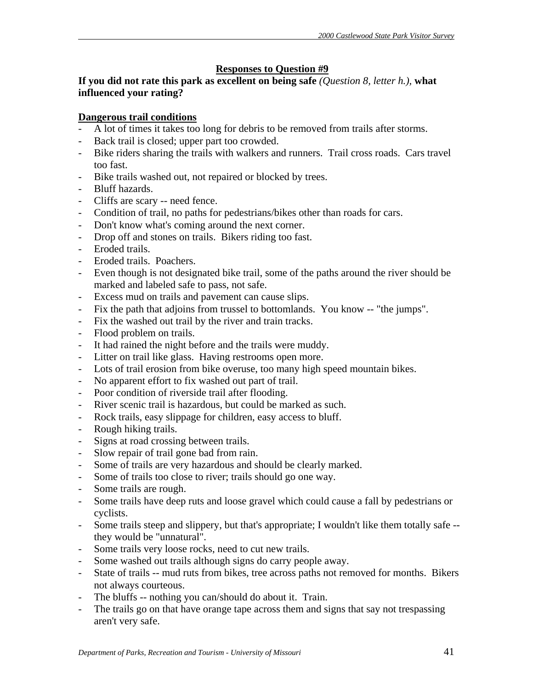# **Responses to Question #9**

**If you did not rate this park as excellent on being safe** *(Question 8, letter h.),* **what influenced your rating?** 

# **Dangerous trail conditions**

- A lot of times it takes too long for debris to be removed from trails after storms.
- Back trail is closed; upper part too crowded.
- Bike riders sharing the trails with walkers and runners. Trail cross roads. Cars travel too fast.
- Bike trails washed out, not repaired or blocked by trees.
- Bluff hazards.
- Cliffs are scary -- need fence.
- Condition of trail, no paths for pedestrians/bikes other than roads for cars.
- Don't know what's coming around the next corner.
- Drop off and stones on trails. Bikers riding too fast.
- Eroded trails.
- Eroded trails. Poachers.
- Even though is not designated bike trail, some of the paths around the river should be marked and labeled safe to pass, not safe.
- Excess mud on trails and pavement can cause slips.
- Fix the path that adjoins from trussel to bottomlands. You know -- "the jumps".
- Fix the washed out trail by the river and train tracks.
- Flood problem on trails.
- It had rained the night before and the trails were muddy.
- Litter on trail like glass. Having restrooms open more.
- Lots of trail erosion from bike overuse, too many high speed mountain bikes.
- No apparent effort to fix washed out part of trail.
- Poor condition of riverside trail after flooding.
- River scenic trail is hazardous, but could be marked as such.
- Rock trails, easy slippage for children, easy access to bluff.
- Rough hiking trails.
- Signs at road crossing between trails.
- Slow repair of trail gone bad from rain.
- Some of trails are very hazardous and should be clearly marked.
- Some of trails too close to river; trails should go one way.
- Some trails are rough.
- Some trails have deep ruts and loose gravel which could cause a fall by pedestrians or cyclists.
- Some trails steep and slippery, but that's appropriate; I wouldn't like them totally safe they would be "unnatural".
- Some trails very loose rocks, need to cut new trails.
- Some washed out trails although signs do carry people away.
- State of trails -- mud ruts from bikes, tree across paths not removed for months. Bikers not always courteous.
- The bluffs -- nothing you can/should do about it. Train.
- The trails go on that have orange tape across them and signs that say not trespassing aren't very safe.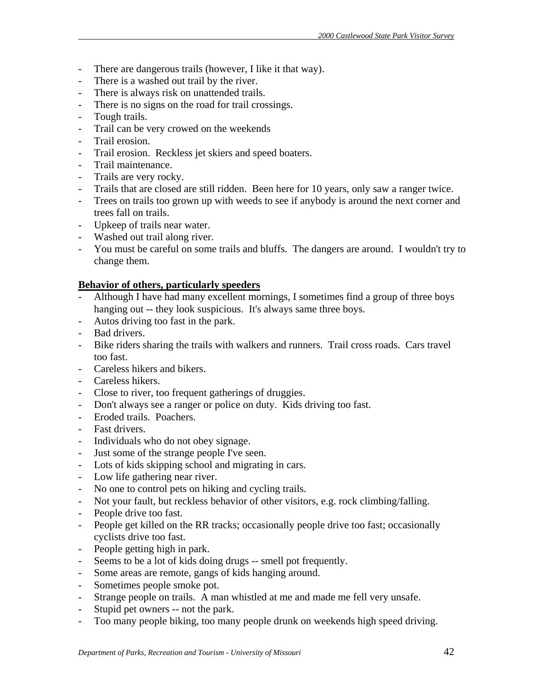- There are dangerous trails (however, I like it that way).
- There is a washed out trail by the river.
- There is always risk on unattended trails.
- There is no signs on the road for trail crossings.
- Tough trails.
- Trail can be very crowed on the weekends
- Trail erosion.
- Trail erosion. Reckless jet skiers and speed boaters.
- Trail maintenance.
- Trails are very rocky.
- Trails that are closed are still ridden. Been here for 10 years, only saw a ranger twice.
- Trees on trails too grown up with weeds to see if anybody is around the next corner and trees fall on trails.
- Upkeep of trails near water.
- Washed out trail along river.
- You must be careful on some trails and bluffs. The dangers are around. I wouldn't try to change them.

# **Behavior of others, particularly speeders**

- Although I have had many excellent mornings, I sometimes find a group of three boys hanging out -- they look suspicious. It's always same three boys.
- Autos driving too fast in the park.
- Bad drivers.
- Bike riders sharing the trails with walkers and runners. Trail cross roads. Cars travel too fast.
- Careless hikers and bikers.
- Careless hikers.
- Close to river, too frequent gatherings of druggies.
- Don't always see a ranger or police on duty. Kids driving too fast.
- Eroded trails. Poachers.
- Fast drivers.
- Individuals who do not obey signage.
- Just some of the strange people I've seen.
- Lots of kids skipping school and migrating in cars.
- Low life gathering near river.
- No one to control pets on hiking and cycling trails.
- Not your fault, but reckless behavior of other visitors, e.g. rock climbing/falling.
- People drive too fast.
- People get killed on the RR tracks; occasionally people drive too fast; occasionally cyclists drive too fast.
- People getting high in park.
- Seems to be a lot of kids doing drugs -- smell pot frequently.
- Some areas are remote, gangs of kids hanging around.
- Sometimes people smoke pot.
- Strange people on trails. A man whistled at me and made me fell very unsafe.
- Stupid pet owners -- not the park.
- Too many people biking, too many people drunk on weekends high speed driving.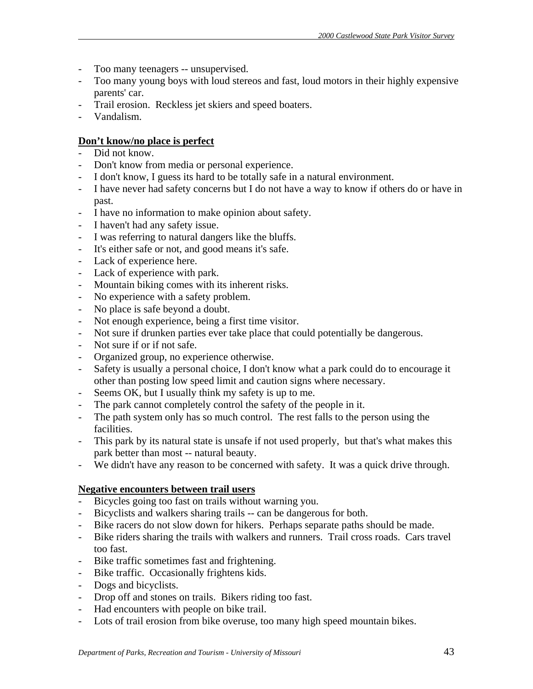- Too many teenagers -- unsupervised.
- Too many young boys with loud stereos and fast, loud motors in their highly expensive parents' car.
- Trail erosion. Reckless jet skiers and speed boaters.
- Vandalism.

# **Don't know/no place is perfect**

- Did not know.
- Don't know from media or personal experience.
- I don't know, I guess its hard to be totally safe in a natural environment.
- I have never had safety concerns but I do not have a way to know if others do or have in past.
- I have no information to make opinion about safety.
- I haven't had any safety issue.
- I was referring to natural dangers like the bluffs.
- It's either safe or not, and good means it's safe.
- Lack of experience here.
- Lack of experience with park.
- Mountain biking comes with its inherent risks.
- No experience with a safety problem.
- No place is safe beyond a doubt.
- Not enough experience, being a first time visitor.
- Not sure if drunken parties ever take place that could potentially be dangerous.
- Not sure if or if not safe.
- Organized group, no experience otherwise.
- Safety is usually a personal choice, I don't know what a park could do to encourage it other than posting low speed limit and caution signs where necessary.
- Seems OK, but I usually think my safety is up to me.
- The park cannot completely control the safety of the people in it.
- The path system only has so much control. The rest falls to the person using the facilities.
- This park by its natural state is unsafe if not used properly, but that's what makes this park better than most -- natural beauty.
- We didn't have any reason to be concerned with safety. It was a quick drive through.

# **Negative encounters between trail users**

- Bicycles going too fast on trails without warning you.
- Bicyclists and walkers sharing trails -- can be dangerous for both.
- Bike racers do not slow down for hikers. Perhaps separate paths should be made.
- Bike riders sharing the trails with walkers and runners. Trail cross roads. Cars travel too fast.
- Bike traffic sometimes fast and frightening.
- Bike traffic. Occasionally frightens kids.
- Dogs and bicyclists.
- Drop off and stones on trails. Bikers riding too fast.
- Had encounters with people on bike trail.
- Lots of trail erosion from bike overuse, too many high speed mountain bikes.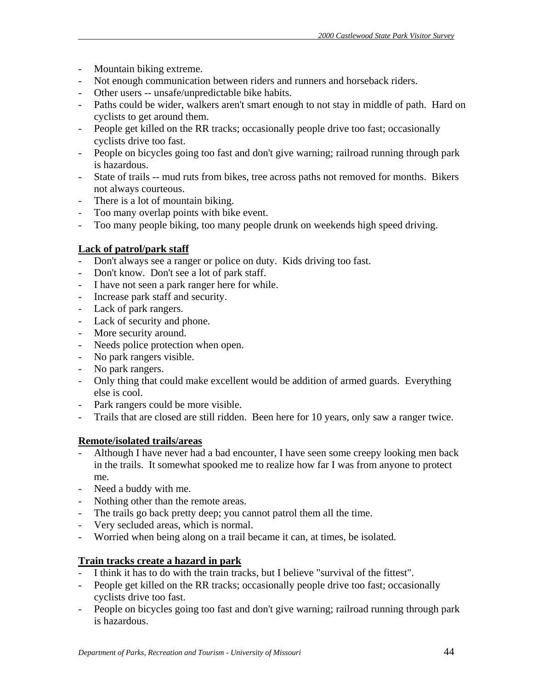- Mountain biking extreme.
- Not enough communication between riders and runners and horseback riders.
- Other users -- unsafe/unpredictable bike habits.
- Paths could be wider, walkers aren't smart enough to not stay in middle of path. Hard on cyclists to get around them.
- People get killed on the RR tracks; occasionally people drive too fast; occasionally cyclists drive too fast.
- People on bicycles going too fast and don't give warning; railroad running through park is hazardous.
- State of trails -- mud ruts from bikes, tree across paths not removed for months. Bikers not always courteous.
- There is a lot of mountain biking.
- Too many overlap points with bike event.
- Too many people biking, too many people drunk on weekends high speed driving.

# **Lack of patrol/park staff**

- Don't always see a ranger or police on duty. Kids driving too fast.
- Don't know. Don't see a lot of park staff.
- I have not seen a park ranger here for while.
- Increase park staff and security.
- Lack of park rangers.
- Lack of security and phone.
- More security around.
- Needs police protection when open.
- No park rangers visible.
- No park rangers.
- Only thing that could make excellent would be addition of armed guards. Everything else is cool.
- Park rangers could be more visible.
- Trails that are closed are still ridden. Been here for 10 years, only saw a ranger twice.

# **Remote/isolated trails/areas**

- Although I have never had a bad encounter, I have seen some creepy looking men back in the trails. It somewhat spooked me to realize how far I was from anyone to protect me.
- Need a buddy with me.
- Nothing other than the remote areas.
- The trails go back pretty deep; you cannot patrol them all the time.
- Very secluded areas, which is normal.
- Worried when being along on a trail became it can, at times, be isolated.

# **Train tracks create a hazard in park**

- I think it has to do with the train tracks, but I believe "survival of the fittest".
- People get killed on the RR tracks; occasionally people drive too fast; occasionally cyclists drive too fast.
- People on bicycles going too fast and don't give warning; railroad running through park is hazardous.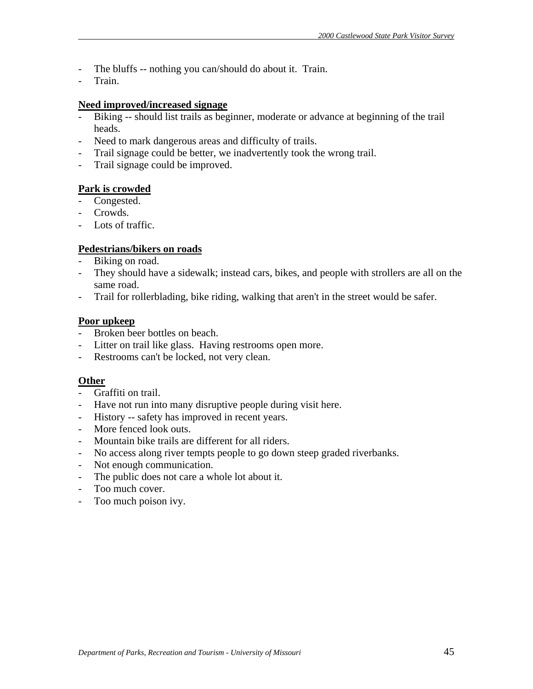- The bluffs -- nothing you can/should do about it. Train.
- Train.

#### **Need improved/increased signage**

- Biking -- should list trails as beginner, moderate or advance at beginning of the trail heads.
- Need to mark dangerous areas and difficulty of trails.
- Trail signage could be better, we inadvertently took the wrong trail.
- Trail signage could be improved.

# **Park is crowded**

- Congested.
- Crowds.
- Lots of traffic.

# **Pedestrians/bikers on roads**

- Biking on road.
- They should have a sidewalk; instead cars, bikes, and people with strollers are all on the same road.
- Trail for rollerblading, bike riding, walking that aren't in the street would be safer.

# **Poor upkeep**

- Broken beer bottles on beach.
- Litter on trail like glass. Having restrooms open more.
- Restrooms can't be locked, not very clean.

# **Other**

- Graffiti on trail.
- Have not run into many disruptive people during visit here.
- History -- safety has improved in recent years.
- More fenced look outs.
- Mountain bike trails are different for all riders.
- No access along river tempts people to go down steep graded riverbanks.
- Not enough communication.
- The public does not care a whole lot about it.
- Too much cover.
- Too much poison ivy.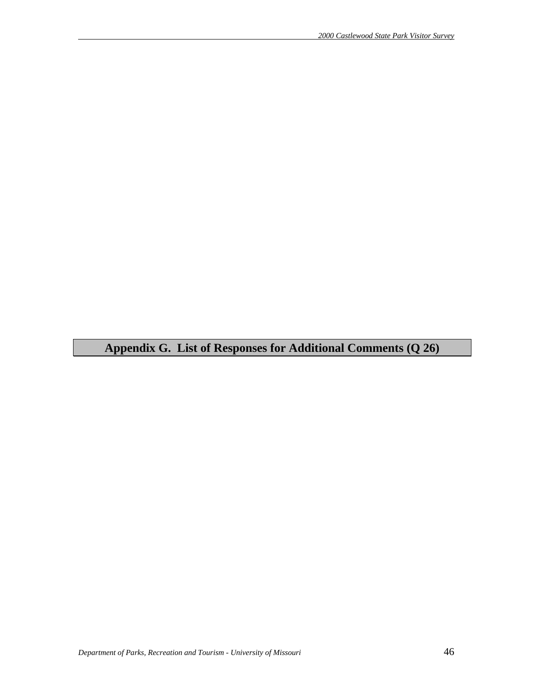# **Appendix G. List of Responses for Additional Comments (Q 26)**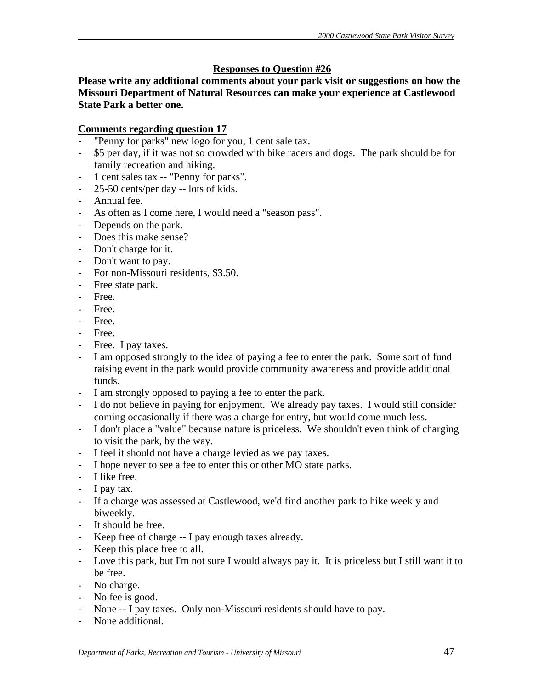# **Responses to Question #26**

**Please write any additional comments about your park visit or suggestions on how the Missouri Department of Natural Resources can make your experience at Castlewood State Park a better one.** 

# **Comments regarding question 17**

- "Penny for parks" new logo for you, 1 cent sale tax.
- \$5 per day, if it was not so crowded with bike racers and dogs. The park should be for family recreation and hiking.
- 1 cent sales tax -- "Penny for parks".
- 25-50 cents/per day -- lots of kids.
- Annual fee.
- As often as I come here, I would need a "season pass".
- Depends on the park.
- Does this make sense?
- Don't charge for it.
- Don't want to pay.
- For non-Missouri residents, \$3.50.
- Free state park.
- Free.
- Free.
- Free.
- Free.
- Free. I pay taxes.
- I am opposed strongly to the idea of paying a fee to enter the park. Some sort of fund raising event in the park would provide community awareness and provide additional funds.
- I am strongly opposed to paying a fee to enter the park.
- I do not believe in paying for enjoyment. We already pay taxes. I would still consider coming occasionally if there was a charge for entry, but would come much less.
- I don't place a "value" because nature is priceless. We shouldn't even think of charging to visit the park, by the way.
- I feel it should not have a charge levied as we pay taxes.
- I hope never to see a fee to enter this or other MO state parks.
- I like free.
- I pay tax.
- If a charge was assessed at Castlewood, we'd find another park to hike weekly and biweekly.
- It should be free.
- Keep free of charge -- I pay enough taxes already.
- Keep this place free to all.
- Love this park, but I'm not sure I would always pay it. It is priceless but I still want it to be free.
- No charge.
- No fee is good.
- None -- I pay taxes. Only non-Missouri residents should have to pay.
- None additional.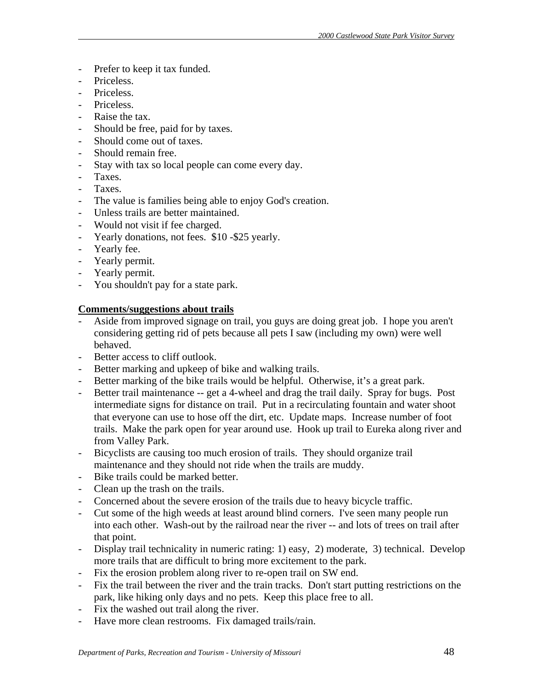- Prefer to keep it tax funded.
- Priceless.
- Priceless.
- Priceless.
- Raise the tax.
- Should be free, paid for by taxes.
- Should come out of taxes.
- Should remain free.
- Stay with tax so local people can come every day.
- Taxes.
- Taxes.
- The value is families being able to enjoy God's creation.
- Unless trails are better maintained.
- Would not visit if fee charged.
- Yearly donations, not fees. \$10 -\$25 yearly.
- Yearly fee.
- Yearly permit.
- Yearly permit.
- You shouldn't pay for a state park.

# **Comments/suggestions about trails**

- Aside from improved signage on trail, you guys are doing great job. I hope you aren't considering getting rid of pets because all pets I saw (including my own) were well behaved.
- Better access to cliff outlook.
- Better marking and upkeep of bike and walking trails.
- Better marking of the bike trails would be helpful. Otherwise, it's a great park.
- Better trail maintenance -- get a 4-wheel and drag the trail daily. Spray for bugs. Post intermediate signs for distance on trail. Put in a recirculating fountain and water shoot that everyone can use to hose off the dirt, etc. Update maps. Increase number of foot trails. Make the park open for year around use. Hook up trail to Eureka along river and from Valley Park.
- Bicyclists are causing too much erosion of trails. They should organize trail maintenance and they should not ride when the trails are muddy.
- Bike trails could be marked better.
- Clean up the trash on the trails.
- Concerned about the severe erosion of the trails due to heavy bicycle traffic.
- Cut some of the high weeds at least around blind corners. I've seen many people run into each other. Wash-out by the railroad near the river -- and lots of trees on trail after that point.
- Display trail technicality in numeric rating: 1) easy, 2) moderate, 3) technical. Develop more trails that are difficult to bring more excitement to the park.
- Fix the erosion problem along river to re-open trail on SW end.
- Fix the trail between the river and the train tracks. Don't start putting restrictions on the park, like hiking only days and no pets. Keep this place free to all.
- Fix the washed out trail along the river.
- Have more clean restrooms. Fix damaged trails/rain.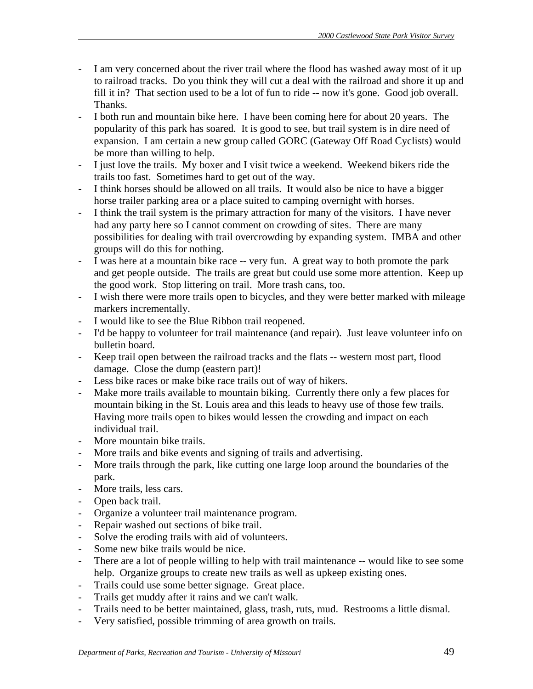- I am very concerned about the river trail where the flood has washed away most of it up to railroad tracks. Do you think they will cut a deal with the railroad and shore it up and fill it in? That section used to be a lot of fun to ride -- now it's gone. Good job overall. Thanks.
- I both run and mountain bike here. I have been coming here for about 20 years. The popularity of this park has soared. It is good to see, but trail system is in dire need of expansion. I am certain a new group called GORC (Gateway Off Road Cyclists) would be more than willing to help.
- I just love the trails. My boxer and I visit twice a weekend. Weekend bikers ride the trails too fast. Sometimes hard to get out of the way.
- I think horses should be allowed on all trails. It would also be nice to have a bigger horse trailer parking area or a place suited to camping overnight with horses.
- I think the trail system is the primary attraction for many of the visitors. I have never had any party here so I cannot comment on crowding of sites. There are many possibilities for dealing with trail overcrowding by expanding system. IMBA and other groups will do this for nothing.
- I was here at a mountain bike race -- very fun. A great way to both promote the park and get people outside. The trails are great but could use some more attention. Keep up the good work. Stop littering on trail. More trash cans, too.
- I wish there were more trails open to bicycles, and they were better marked with mileage markers incrementally.
- I would like to see the Blue Ribbon trail reopened.
- I'd be happy to volunteer for trail maintenance (and repair). Just leave volunteer info on bulletin board.
- Keep trail open between the railroad tracks and the flats -- western most part, flood damage. Close the dump (eastern part)!
- Less bike races or make bike race trails out of way of hikers.
- Make more trails available to mountain biking. Currently there only a few places for mountain biking in the St. Louis area and this leads to heavy use of those few trails. Having more trails open to bikes would lessen the crowding and impact on each individual trail.
- More mountain bike trails.
- More trails and bike events and signing of trails and advertising.
- More trails through the park, like cutting one large loop around the boundaries of the park.
- More trails, less cars.
- Open back trail.
- Organize a volunteer trail maintenance program.
- Repair washed out sections of bike trail.
- Solve the eroding trails with aid of volunteers.
- Some new bike trails would be nice.
- There are a lot of people willing to help with trail maintenance -- would like to see some help. Organize groups to create new trails as well as upkeep existing ones.
- Trails could use some better signage. Great place.
- Trails get muddy after it rains and we can't walk.
- Trails need to be better maintained, glass, trash, ruts, mud. Restrooms a little dismal.
- Very satisfied, possible trimming of area growth on trails.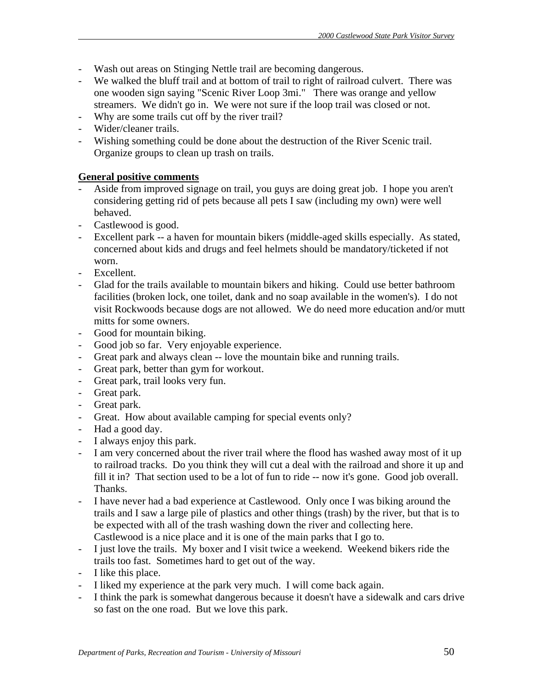- Wash out areas on Stinging Nettle trail are becoming dangerous.
- We walked the bluff trail and at bottom of trail to right of railroad culvert. There was one wooden sign saying "Scenic River Loop 3mi." There was orange and yellow streamers. We didn't go in. We were not sure if the loop trail was closed or not.
- Why are some trails cut off by the river trail?
- Wider/cleaner trails.
- Wishing something could be done about the destruction of the River Scenic trail. Organize groups to clean up trash on trails.

# **General positive comments**

- Aside from improved signage on trail, you guys are doing great job. I hope you aren't considering getting rid of pets because all pets I saw (including my own) were well behaved.
- Castlewood is good.
- Excellent park -- a haven for mountain bikers (middle-aged skills especially. As stated, concerned about kids and drugs and feel helmets should be mandatory/ticketed if not worn.
- Excellent.
- Glad for the trails available to mountain bikers and hiking. Could use better bathroom facilities (broken lock, one toilet, dank and no soap available in the women's). I do not visit Rockwoods because dogs are not allowed. We do need more education and/or mutt mitts for some owners.
- Good for mountain biking.
- Good job so far. Very enjoyable experience.
- Great park and always clean -- love the mountain bike and running trails.
- Great park, better than gym for workout.
- Great park, trail looks very fun.
- Great park.
- Great park.
- Great. How about available camping for special events only?
- Had a good day.
- I always enjoy this park.
- I am very concerned about the river trail where the flood has washed away most of it up to railroad tracks. Do you think they will cut a deal with the railroad and shore it up and fill it in? That section used to be a lot of fun to ride -- now it's gone. Good job overall. Thanks.
- I have never had a bad experience at Castlewood. Only once I was biking around the trails and I saw a large pile of plastics and other things (trash) by the river, but that is to be expected with all of the trash washing down the river and collecting here. Castlewood is a nice place and it is one of the main parks that I go to.
- I just love the trails. My boxer and I visit twice a weekend. Weekend bikers ride the trails too fast. Sometimes hard to get out of the way.
- I like this place.
- I liked my experience at the park very much. I will come back again.
- I think the park is somewhat dangerous because it doesn't have a sidewalk and cars drive so fast on the one road. But we love this park.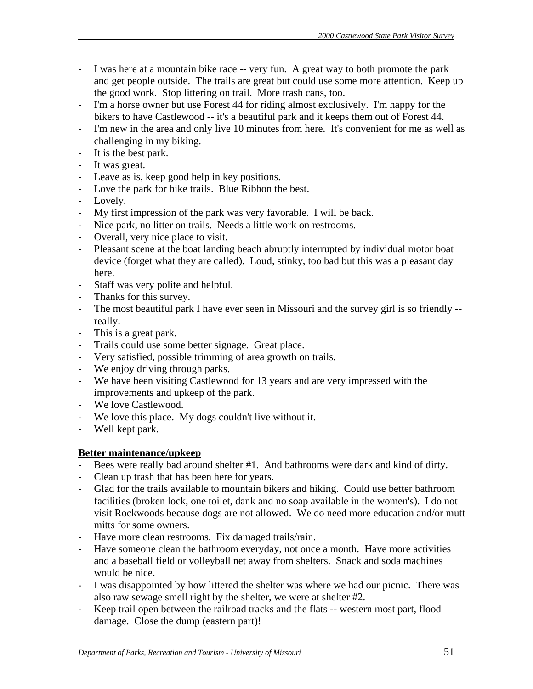- I was here at a mountain bike race -- very fun. A great way to both promote the park and get people outside. The trails are great but could use some more attention. Keep up the good work. Stop littering on trail. More trash cans, too.
- I'm a horse owner but use Forest 44 for riding almost exclusively. I'm happy for the bikers to have Castlewood -- it's a beautiful park and it keeps them out of Forest 44.
- I'm new in the area and only live 10 minutes from here. It's convenient for me as well as challenging in my biking.
- It is the best park.
- It was great.
- Leave as is, keep good help in key positions.
- Love the park for bike trails. Blue Ribbon the best.
- Lovely.
- My first impression of the park was very favorable. I will be back.
- Nice park, no litter on trails. Needs a little work on restrooms.
- Overall, very nice place to visit.
- Pleasant scene at the boat landing beach abruptly interrupted by individual motor boat device (forget what they are called). Loud, stinky, too bad but this was a pleasant day here.
- Staff was very polite and helpful.
- Thanks for this survey.
- The most beautiful park I have ever seen in Missouri and the survey girl is so friendly -really.
- This is a great park.
- Trails could use some better signage. Great place.
- Very satisfied, possible trimming of area growth on trails.
- We enjoy driving through parks.
- We have been visiting Castlewood for 13 years and are very impressed with the improvements and upkeep of the park.
- We love Castlewood.
- We love this place. My dogs couldn't live without it.
- Well kept park.

# **Better maintenance/upkeep**

- Bees were really bad around shelter #1. And bathrooms were dark and kind of dirty.
- Clean up trash that has been here for years.
- Glad for the trails available to mountain bikers and hiking. Could use better bathroom facilities (broken lock, one toilet, dank and no soap available in the women's). I do not visit Rockwoods because dogs are not allowed. We do need more education and/or mutt mitts for some owners.
- Have more clean restrooms. Fix damaged trails/rain.
- Have someone clean the bathroom everyday, not once a month. Have more activities and a baseball field or volleyball net away from shelters. Snack and soda machines would be nice.
- I was disappointed by how littered the shelter was where we had our picnic. There was also raw sewage smell right by the shelter, we were at shelter #2.
- Keep trail open between the railroad tracks and the flats -- western most part, flood damage. Close the dump (eastern part)!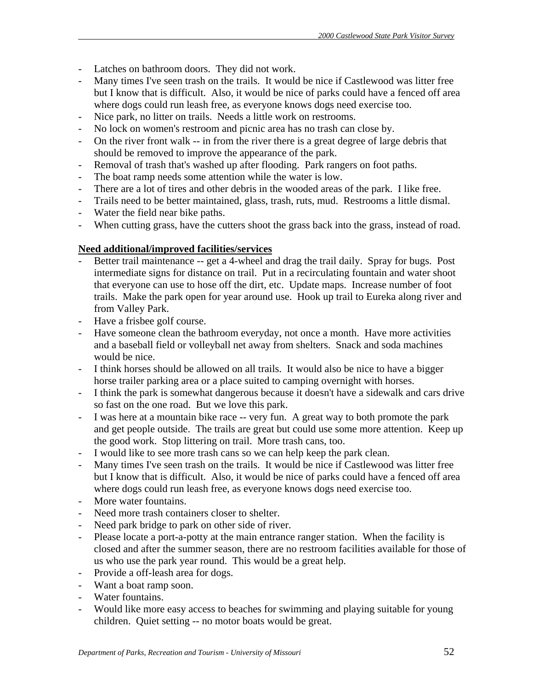- Latches on bathroom doors. They did not work.
- Many times I've seen trash on the trails. It would be nice if Castlewood was litter free but I know that is difficult. Also, it would be nice of parks could have a fenced off area where dogs could run leash free, as everyone knows dogs need exercise too.
- Nice park, no litter on trails. Needs a little work on restrooms.
- No lock on women's restroom and picnic area has no trash can close by.
- On the river front walk -- in from the river there is a great degree of large debris that should be removed to improve the appearance of the park.
- Removal of trash that's washed up after flooding. Park rangers on foot paths.
- The boat ramp needs some attention while the water is low.
- There are a lot of tires and other debris in the wooded areas of the park. I like free.
- Trails need to be better maintained, glass, trash, ruts, mud. Restrooms a little dismal.
- Water the field near bike paths.
- When cutting grass, have the cutters shoot the grass back into the grass, instead of road.

# **Need additional/improved facilities/services**

- Better trail maintenance -- get a 4-wheel and drag the trail daily. Spray for bugs. Post intermediate signs for distance on trail. Put in a recirculating fountain and water shoot that everyone can use to hose off the dirt, etc. Update maps. Increase number of foot trails. Make the park open for year around use. Hook up trail to Eureka along river and from Valley Park.
- Have a frisbee golf course.
- Have someone clean the bathroom everyday, not once a month. Have more activities and a baseball field or volleyball net away from shelters. Snack and soda machines would be nice.
- I think horses should be allowed on all trails. It would also be nice to have a bigger horse trailer parking area or a place suited to camping overnight with horses.
- I think the park is somewhat dangerous because it doesn't have a sidewalk and cars drive so fast on the one road. But we love this park.
- I was here at a mountain bike race -- very fun. A great way to both promote the park and get people outside. The trails are great but could use some more attention. Keep up the good work. Stop littering on trail. More trash cans, too.
- I would like to see more trash cans so we can help keep the park clean.
- Many times I've seen trash on the trails. It would be nice if Castlewood was litter free but I know that is difficult. Also, it would be nice of parks could have a fenced off area where dogs could run leash free, as everyone knows dogs need exercise too.
- More water fountains.
- Need more trash containers closer to shelter.
- Need park bridge to park on other side of river.
- Please locate a port-a-potty at the main entrance ranger station. When the facility is closed and after the summer season, there are no restroom facilities available for those of us who use the park year round. This would be a great help.
- Provide a off-leash area for dogs.
- Want a boat ramp soon.
- Water fountains.
- Would like more easy access to beaches for swimming and playing suitable for young children. Quiet setting -- no motor boats would be great.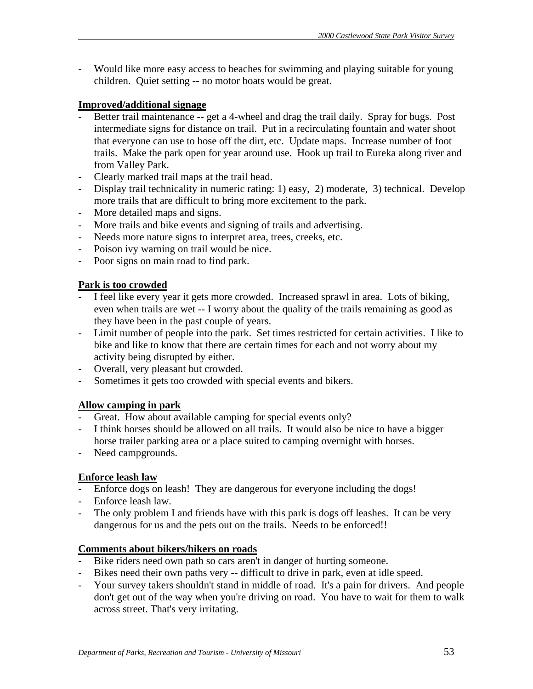- Would like more easy access to beaches for swimming and playing suitable for young children. Quiet setting -- no motor boats would be great.

# **Improved/additional signage**

- Better trail maintenance -- get a 4-wheel and drag the trail daily. Spray for bugs. Post intermediate signs for distance on trail. Put in a recirculating fountain and water shoot that everyone can use to hose off the dirt, etc. Update maps. Increase number of foot trails. Make the park open for year around use. Hook up trail to Eureka along river and from Valley Park.
- Clearly marked trail maps at the trail head.
- Display trail technicality in numeric rating: 1) easy, 2) moderate, 3) technical. Develop more trails that are difficult to bring more excitement to the park.
- More detailed maps and signs.
- More trails and bike events and signing of trails and advertising.
- Needs more nature signs to interpret area, trees, creeks, etc.
- Poison ivy warning on trail would be nice.
- Poor signs on main road to find park.

# **Park is too crowded**

- I feel like every year it gets more crowded. Increased sprawl in area. Lots of biking, even when trails are wet -- I worry about the quality of the trails remaining as good as they have been in the past couple of years.
- Limit number of people into the park. Set times restricted for certain activities. I like to bike and like to know that there are certain times for each and not worry about my activity being disrupted by either.
- Overall, very pleasant but crowded.
- Sometimes it gets too crowded with special events and bikers.

# **Allow camping in park**

- Great. How about available camping for special events only?
- I think horses should be allowed on all trails. It would also be nice to have a bigger horse trailer parking area or a place suited to camping overnight with horses.
- Need campgrounds.

# **Enforce leash law**

- Enforce dogs on leash! They are dangerous for everyone including the dogs!
- Enforce leash law.
- The only problem I and friends have with this park is dogs off leashes. It can be very dangerous for us and the pets out on the trails. Needs to be enforced!!

# **Comments about bikers/hikers on roads**

- Bike riders need own path so cars aren't in danger of hurting someone.
- Bikes need their own paths very -- difficult to drive in park, even at idle speed.
- Your survey takers shouldn't stand in middle of road. It's a pain for drivers. And people don't get out of the way when you're driving on road. You have to wait for them to walk across street. That's very irritating.